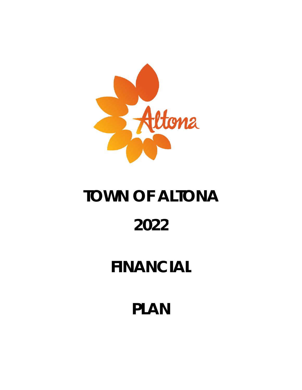

# **TOWN OF ALTONA 2022**

# **FINANCIAL**

# **PLAN**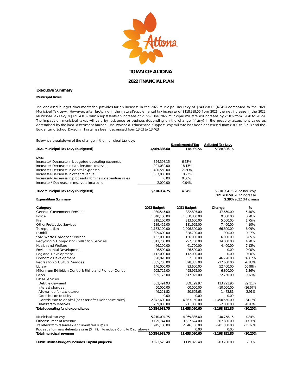

#### **Executive Summary**

#### **Municipal Taxes**

The enclosed budget documentation provides for an increase in the 2022 Municipal Tax Levy of \$240,758.15 (4.84%) compared to the 2021 Municipal Tax Levy. However, after factoring in the natural/supplemental tax increase of \$118,989.56 from 2021, the net increase in the 2022 Municipal Tax Levy is \$121,768.59 which represents an increase of 2.39%. The 2022 municipal mill rate will increase by 2.58% from 19.78 to 20.29. The impact on municipal taxes will vary by residence or business depending on the change (if any) in the property assessment value as determined by the local assessment branch. The Provincial Educational Support Levy mill rate has been decreased from 8.809 to 8.713 and the Border Land School Division mill rate has been decreased from 13.63 to 13.463

Below is a breakdown of the change in the municipal tax levy:

|                                                                             |                 | Supplemental Tax | <b>Adjusted Tax Levy</b>                               |                       |
|-----------------------------------------------------------------------------|-----------------|------------------|--------------------------------------------------------|-----------------------|
| 2021 Municipal Tax Levy (budgeted)                                          | 4,969,336.60    | 118.989.56       | 5.088.326.16                                           |                       |
| plus:                                                                       |                 |                  |                                                        |                       |
| Increase/-Decrease in budgeted operating expenses                           | 324,398.15      | 6.53%            |                                                        |                       |
| Increase/-Decrease in transfers from reserves                               | 901,030.00      | 18.13%           |                                                        |                       |
| Increase/-Decrease in capital expenses                                      | $-1,490,550.00$ | -29.99%          |                                                        |                       |
| Increase/-Decrease in other revenue                                         | 507,880.00      | 10.22%           |                                                        |                       |
| Increase/-Decrease in proceeds from new debenture sales                     | 0.00            | 0.00%            |                                                        |                       |
| Increase /-Decrease in reserve allocations                                  | $-2,000.00$     | $-0.04%$         |                                                        |                       |
| 2022 Municipal Tax Levy (budgeted)                                          | 5,210,094.75    | 4.84%            | 5,210,094.75 2022 Tax Levy<br>121,768.59 2022 Increase |                       |
| <b>Expenditure Summary</b>                                                  |                 |                  |                                                        | 2.39% 2022 % Increase |
| Category                                                                    | 2022 Budget     | 2021 Budget      | Change                                                 | %                     |
| <b>General Government Services</b>                                          | 930,545.00      | 882,895.00       | 47,650.00                                              | 5.40%                 |
| Police                                                                      | 1,340,100.00    | 1,330,800.00     | 9,300.00                                               | 0.70%                 |
| Fire                                                                        | 319,100.00      | 313,600.00       | 5,500.00                                               | 1.75%                 |
| <b>Other Protective Services</b>                                            | 189,455.00      | 181,995.00       | 7,460.00                                               | 4.10%                 |
| Transportation                                                              | 1,163,100.00    | 1,096,300.00     | 66,800.00                                              | 6.09%                 |
| Landfill                                                                    | 329,600.00      | 328,700.00       | 900.00                                                 | 0.27%                 |
| Solid Waste Collection Services                                             | 162,000.00      | 156,000.00       | 6,000.00                                               | 3.85%                 |
| Recycling & Composting Collection Services                                  | 311,700.00      | 297,700.00       | 14,000.00                                              | 4.70%                 |
| <b>Health and Welfare</b>                                                   | 66,100.00       | 61,700.00        | 4,400.00                                               | 7.13%                 |
| <b>Environmental Development</b>                                            | 26,500.00       | 26,500.00        | 0.00                                                   | 0.00%                 |
| Regional Development                                                        | 112,000.00      | 112,000.00       | 0.00                                                   | 0.00%                 |
| Economic Development                                                        | 98,820.00       | 52,100.00        | 46,720.00                                              | 89.67%                |
| Recreation & Cultural Services                                              | 305,705.00      | 328,305.00       | $-22,600.00$                                           | $-6.88%$              |
| Library                                                                     | 146,000.00      | 93,600.00        | 52,400.00                                              | 55.98%                |
| Millennium Exhibition Centre & Rhineland Pioneer Centre                     | 505,725.00      | 498,925.00       | 6,800.00                                               | 1.36%                 |
| Parks                                                                       | 595,175.00      | 617,925.00       | $-22,750.00$                                           | $-3.68%$              |
| <b>Fiscal Services</b>                                                      |                 |                  |                                                        |                       |
| Debt re-payment                                                             | 502,491.93      | 389,199.97       | 113,291.96                                             | 29.11%                |
| Interest charges                                                            | 50,000.00       | 60,000.00        | $-10,000.00$                                           | $-16.67%$             |
| Allowance for tax reserve                                                   | 49,221.82       | 50,695.63        | $-1,473.81$                                            | $-2.91%$              |
| Contribution to utility                                                     | 0.00            | 0.00             | 0.00                                                   |                       |
| Contribution to capital (net cost after Debenture sales)                    | 2,872,600.00    | 4,363,150.00     | $-1,490,550.00$                                        | $-34.16%$             |
| Transfers to reserves                                                       | 209,000.00      | 211,000.00       | $-2,000.00$                                            | $-0.95%$              |
| Total operating fund expenditures                                           | 10,284,938.75   | 11,453,090.60    | $-1,168,151.85$                                        | $-10.20%$             |
| Municipal tax levy                                                          | 5,210,094.75    | 4,969,336.60     | 240,758.15                                             | 4.84%                 |
| Other sources of revenue                                                    | 3,129,744.00    | 3,637,624.00     | -507,880.00                                            | $-13.96%$             |
| Transfers from reserves / accumulated surplus                               | 1,945,100.00    | 2,846,130.00     | $-901,030.00$                                          | $-31.66%$             |
| Proceeds from new debenture sales (3 million to reduce Cont. to Cap. above) |                 | 0.00             | 0.00                                                   |                       |
| Total municipal revenue                                                     | 10,284,938.75   | 11,453,090.60    | $-1,168,151.85$                                        | $-10.20%$             |
| Public utilities budget (includes Capital projects)                         | 3,323,525.48    | 3,119,825.48     | 203,700.00                                             | 6.53%                 |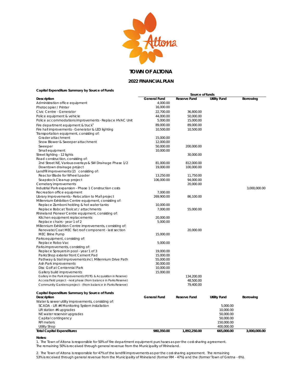

**TOWN OF ALTONA**

## **2022 FINANCIAL PLAN**

#### **Capital Expenditure Summary by Source of Funds**

|                                                                   | Source of funds     |                     |                     |              |  |  |
|-------------------------------------------------------------------|---------------------|---------------------|---------------------|--------------|--|--|
| Description                                                       | General Fund        | <b>Reserve Fund</b> | <b>Utility Fund</b> | Borrowing    |  |  |
| Administration office equipment                                   | 4,000.00            |                     |                     |              |  |  |
| Photocopier / Printer                                             | 16,000.00           |                     |                     |              |  |  |
| Civic Centre - Generator                                          | 22,700.00           | 36,800.00           |                     |              |  |  |
| Police equipment & vehicle                                        | 44,000.00           | 50,000.00           |                     |              |  |  |
| Police accommodations improvements - Replace HVAC Unit            | 5,000.00            | 15,000.00           |                     |              |  |  |
| Fire department equipment & truck <sup>1</sup>                    | 89,000.00           | 89,000.00           |                     |              |  |  |
| Fire hall improvements - Generator & LED lighting                 | 10,500.00           | 10,500.00           |                     |              |  |  |
| Transportation equipment, consisting of:                          |                     |                     |                     |              |  |  |
| Grader attachment                                                 | 15,000.00           |                     |                     |              |  |  |
| Snow Blower & Sweeper attachment                                  | 12,000.00           |                     |                     |              |  |  |
| Sweeper                                                           | 50,000.00           | 200,000.00          |                     |              |  |  |
| Small equipment                                                   | 10,000.00           |                     |                     |              |  |  |
| Street lighting - 12 lights                                       |                     | 30,000.00           |                     |              |  |  |
| Road construction, consisting of:                                 |                     |                     |                     |              |  |  |
| 2nd Street NE, Various overlays & SW Drainage Phase 1/2           | 81,000.00           | 812,000.00          |                     |              |  |  |
| Downtown drainage project                                         | 19,000.00           | 100,000.00          |                     |              |  |  |
| Landfill improvements (2) consisting of:                          |                     |                     |                     |              |  |  |
| Reactor Blade for Wheel Loader                                    | 13,250.00           | 11,750.00           |                     |              |  |  |
| Soapstock Cleanup project                                         | 106,000.00          | 94,000.00           |                     |              |  |  |
| Cemetery improvements                                             |                     | 20,000.00           |                     |              |  |  |
| Industrial Park expansion - Phase 1 Construction costs            |                     |                     |                     | 3,000,000.00 |  |  |
| Recreation office equipment                                       | 7,000.00            |                     |                     |              |  |  |
| Library improvements - Relocation to Mall project                 | 269,900.00          | 86,100.00           |                     |              |  |  |
| Millennium Exhibition Centre equipment, consisting of:            |                     |                     |                     |              |  |  |
| Replace Zamboni holding & hot water tanks                         | 10,000.00           |                     |                     |              |  |  |
| Replace Bobcat Toolcat / attachments                              | 7,000.00            | 55,000.00           |                     |              |  |  |
| Rhineland Pioneer Centre equipment, consisting of:                |                     |                     |                     |              |  |  |
| Kitchen equipment replacements                                    | 20,000.00           |                     |                     |              |  |  |
| Replace chairs - year 1 of 2                                      | 5,000.00            |                     |                     |              |  |  |
| Millennium Exhibition Centre improvements, consisting of:         |                     |                     |                     |              |  |  |
| Renovate/Coat MEC flat roof component - last section              |                     | 20,000.00           |                     |              |  |  |
| <b>MEC Brine Pump</b>                                             | 15,000.00           |                     |                     |              |  |  |
| Parks equipment, consisting of:                                   |                     |                     |                     |              |  |  |
| Replace Robo-Vac                                                  | 5,000.00            |                     |                     |              |  |  |
| Parks improvements, consisting of:                                |                     |                     |                     |              |  |  |
| Replace Sprayers in pool - year 1 of 3                            | 19,000.00           |                     |                     |              |  |  |
| Parks Shop exterior front Cement Pad                              | 15,000.00           |                     |                     |              |  |  |
| Pathway & trail improvements incl. Millennium Drive Path          | 55,000.00           |                     |                     |              |  |  |
| Ash Park improvements                                             | 30,000.00           |                     |                     |              |  |  |
| Disc Golf at Centennial Park                                      | 10,000.00           |                     |                     |              |  |  |
| Gallery build improvements                                        | 15,000.00           |                     |                     |              |  |  |
| Gallery in the Park improvements (FOTG & Acquisition in Reserve)  |                     | 134,200.00          |                     |              |  |  |
| Access Field project - next phase (from balance in Parks Reserve) |                     | 48,500.00           |                     |              |  |  |
| Community Gardens project - (from balance in Parks Reserve)       |                     | 79,400.00           |                     |              |  |  |
|                                                                   |                     |                     |                     |              |  |  |
| Capital Expenditure Summary by Source of Funds<br>Description     | <b>General Fund</b> | <b>Reserve Fund</b> | <b>Utility Fund</b> | Borrowing    |  |  |
| Water & sewer utility improvements, consisting of:                |                     |                     |                     |              |  |  |
| SCADA - Lift #4 Monitoring System installation                    |                     |                     | 5,000.00            |              |  |  |
| Lift station #4 upgrades                                          |                     |                     | 10,000.00           |              |  |  |
| NE water reservoir upgrades                                       |                     |                     | 50,000.00           |              |  |  |
| Capital contingency                                               |                     |                     | 50,000.00           |              |  |  |
| <b>RFI</b> meters                                                 |                     |                     | 150,000.00          |              |  |  |
| <b>Utility Shop</b>                                               |                     |                     | 400,000.00          |              |  |  |
| <b>Total Capital Expenditures</b>                                 | 980,350.00          | 1,892,250.00        | 665,000.00          | 3,000,000.00 |  |  |

#### **Notes:**

1. The Town of Altona is responsible for 50% of fire department equipment purchases as per the cost-sharing agreement. The remaining 50% is received through general revenue from the Municipality of Rhineland.

2. The Town of Altona is responsible for 47% of the landfill improvements as per the cost-sharing agreement. The remaining 53% is received through general revenue from the Municipality of Rhineland (former RM - 47%) and the (former Town of Gretna - 6%).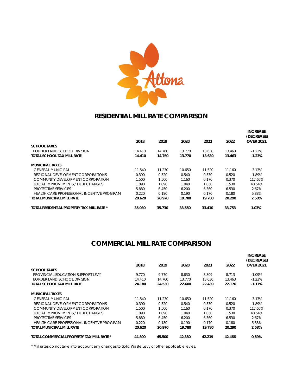

# **RESIDENTIAL MILL RATE COMPARISON**

|                                             | 2018   | 2019   | 2020   | 2021   | 2022   | <b>INCREASE</b><br>(DECREASE)<br><b>OVER 2021</b> |
|---------------------------------------------|--------|--------|--------|--------|--------|---------------------------------------------------|
| <b>SCHOOL TAXES</b>                         |        |        |        |        |        |                                                   |
| BORDER LAND SCHOOL DIVISION                 | 14.410 | 14.760 | 13.770 | 13.630 | 13.463 | $-1.23%$                                          |
| TOTAL SCHOOL TAX MILL RATE                  | 14.410 | 14.760 | 13.770 | 13.630 | 13.463 | $-1.23%$                                          |
| <b>MUNICIPAL TAXES</b>                      |        |        |        |        |        |                                                   |
| <b>GENERAL MUNICIPAL</b>                    | 11.540 | 11.230 | 10.650 | 11.520 | 11.160 | $-3.13%$                                          |
| REGIONAL DEVELOPMENT CORPORATIONS           | 0.390  | 0.520  | 0.540  | 0.530  | 0.520  | $-1.89%$                                          |
| COMMUNITY DEVELOPMENT CORPORATION           | 1.500  | 1.500  | 1.160  | 0.170  | 0.370  | 117.65%                                           |
| <b>LOCAL IMPROVEMENTS / DEBT CHARGES</b>    | 1.090  | 1.090  | 1.040  | 1.030  | 1.530  | 48.54%                                            |
| <b>PROTECTIVE SERVICES</b>                  | 5.880  | 6.450  | 6.200  | 6.360  | 6.530  | 2.67%                                             |
| HEAI TH CARE PROFESSIONAL INCENTIVE PROGRAM | 0.220  | 0.180  | 0.190  | 0.170  | 0.180  | 5.88%                                             |
| TOTAL MUNICIPAL MILL RATE                   | 20.620 | 20.970 | 19.780 | 19.780 | 20.290 | 2.58%                                             |
| TOTAL RESIDENTIAL PROPERTY TAX MILL RATE *  | 35.030 | 35.730 | 33.550 | 33.410 | 33.753 | 1.03%                                             |

## **COMMERCIAL MILL RATE COMPARISON**

| <b>SCHOOL TAXES</b><br><b>PROVINCIAL EDUCATION SUPPORT LEVY</b><br>BORDER LAND SCHOOL DIVISION<br>TOTAL SCHOOL TAX MILL RATE | 2018<br>9.770<br>14.410<br>24.180 | 2019<br>9.770<br>14.760<br>24.530 | 2020<br>8.830<br>13.770<br>22.600 | 2021<br>8.809<br>13.630<br>22.439 | 2022<br>8.713<br>13.463<br>22.176 | <b>INCREASE</b><br>(DECREASE)<br><b>OVER 2021</b><br>$-1.09%$<br>$-1.23%$<br>$-1.17%$ |
|------------------------------------------------------------------------------------------------------------------------------|-----------------------------------|-----------------------------------|-----------------------------------|-----------------------------------|-----------------------------------|---------------------------------------------------------------------------------------|
| <b>MUNICIPAL TAXES</b>                                                                                                       |                                   |                                   |                                   |                                   |                                   |                                                                                       |
| <b>GENERAL MUNICIPAL</b>                                                                                                     | 11.540                            | 11.230                            | 10.650                            | 11.520                            | 11.160                            | $-3.13%$                                                                              |
|                                                                                                                              |                                   |                                   |                                   |                                   |                                   |                                                                                       |
| REGIONAL DEVELOPMENT CORPORATIONS                                                                                            | 0.390                             | 0.520                             | 0.540                             | 0.530                             | 0.520                             | $-1.89%$                                                                              |
| COMMUNITY DEVELOPMENT CORPORATION                                                                                            | 1.500                             | 1.500                             | 1.160                             | 0.170                             | 0.370                             | 117.65%                                                                               |
| <b>LOCAL IMPROVEMENTS / DEBT CHARGES</b>                                                                                     | 1.090                             | 1.090                             | 1.040                             | 1.030                             | 1.530                             | 48.54%                                                                                |
| <b>PROTECTIVE SERVICES</b>                                                                                                   | 5.880                             | 6.450                             | 6.200                             | 6.360                             | 6.530                             | 2.67%                                                                                 |
| HEALTH CARE PROFESSIONAL INCENTIVE PROGRAM                                                                                   | 0.220                             | 0.180                             | 0.190                             | 0.170                             | 0.180                             | 5.88%                                                                                 |
| TOTAL MUNICIPAL MILL RATE                                                                                                    | 20.620                            | 20.970                            | 19.780                            | 19.780                            | 20.290                            | 2.58%                                                                                 |
| TOTAL COMMERCIAL PROPERTY TAX MILL RATE *                                                                                    | 44.800                            | 45.500                            | 42.380                            | 42.219                            | 42.466                            | 0.59%                                                                                 |
|                                                                                                                              |                                   |                                   |                                   |                                   |                                   |                                                                                       |

*\* Mill rates do not take into account any changes to Solid Waste Levy or other applicable levies.*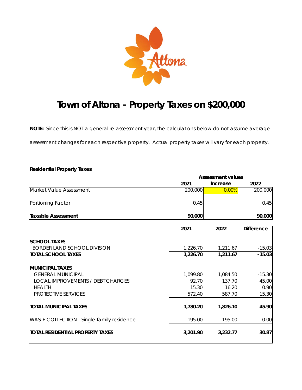

# **Town of Altona - Property Taxes on \$200,000**

**NOTE:** Since this is NOT a general re-assessment year, the calculations below do not assume average assessment changes for each respective property. Actual property taxes will vary for each property.

## **Residential Property Taxes**

|                                            |          | <b>Assessment values</b> |                   |  |  |  |
|--------------------------------------------|----------|--------------------------|-------------------|--|--|--|
|                                            | 2021     | Increase                 | 2022              |  |  |  |
| Market Value Assessment                    | 200,000  | 0.00%                    | 200,000           |  |  |  |
| Portioning Factor                          | 0.45     |                          | 0.45              |  |  |  |
| <b>Taxable Assessment</b>                  | 90,000   |                          | 90,000            |  |  |  |
|                                            | 2021     | 2022                     | <b>Difference</b> |  |  |  |
| <b>SCHOOL TAXES</b>                        |          |                          |                   |  |  |  |
| <b>BORDER LAND SCHOOL DIVISION</b>         | 1,226.70 | 1,211.67                 | $-15.03$          |  |  |  |
| <b>TOTAL SCHOOL TAXES</b>                  | 1,226.70 | 1,211.67                 | $-15.03$          |  |  |  |
| <b>MUNICIPAL TAXES</b>                     |          |                          |                   |  |  |  |
| <b>GENERAL MUNICIPAL</b>                   | 1,099.80 | 1,084.50                 | $-15.30$          |  |  |  |
| <b>LOCAL IMPROVEMENTS / DEBT CHARGES</b>   | 92.70    | 137.70                   | 45.00             |  |  |  |
| <b>HEALTH</b>                              | 15.30    | 16.20                    | 0.90              |  |  |  |
| PROTECTIVE SERVICES                        | 572.40   | 587.70                   | 15.30             |  |  |  |
| <b>TOTAL MUNICIPAL TAXES</b>               | 1,780.20 | 1,826.10                 | 45.90             |  |  |  |
| WASTE COLLECTION - Single family residence | 195.00   | 195.00                   | 0.00              |  |  |  |
| <b>TOTAL RESIDENTIAL PROPERTY TAXES</b>    | 3,201.90 | 3,232.77                 | 30.87             |  |  |  |
|                                            |          |                          |                   |  |  |  |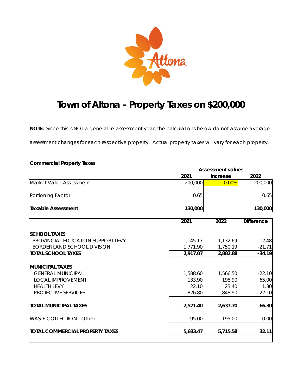

# **Town of Altona - Property Taxes on \$200,000**

**NOTE:** Since this is NOT a general re-assessment year, the calculations below do not assume average assessment changes for each respective property. Actual property taxes will vary for each property.

| <b>Assessment values</b> |                                  |                                  |  |  |
|--------------------------|----------------------------------|----------------------------------|--|--|
| 2021                     | Increase                         | 2022                             |  |  |
| 200,000                  | 0.00%                            | 200,000                          |  |  |
| 0.65                     |                                  | 0.65                             |  |  |
| 130,000                  |                                  | 130,000                          |  |  |
| 2021                     | 2022                             | <b>Difference</b>                |  |  |
|                          |                                  |                                  |  |  |
|                          |                                  |                                  |  |  |
|                          |                                  | $-12.48$                         |  |  |
|                          |                                  | $-21.71$                         |  |  |
|                          |                                  | $-34.19$                         |  |  |
|                          |                                  |                                  |  |  |
| 1,588.60                 | 1,566.50                         | $-22.10$                         |  |  |
| 133.90                   | 198.90                           | 65.00                            |  |  |
| 22.10                    | 23.40                            | 1.30                             |  |  |
| 826.80                   | 848.90                           | 22.10                            |  |  |
| 2,571.40                 | 2,637.70                         | 66.30                            |  |  |
| 195.00                   | 195.00                           | 0.00                             |  |  |
| 5,683.47                 | 5,715.58                         | 32.11                            |  |  |
|                          | 1,145.17<br>1,771.90<br>2,917.07 | 1,132.69<br>1,750.19<br>2,882.88 |  |  |

## **Commercial Property Taxes**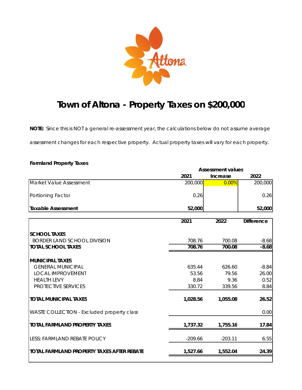

# **Town of Altona - Property Taxes on \$200,000**

**NOTE:** Since this is NOT a general re-assessment year, the calculations below do not assume average assessment changes for each respective property. Actual property taxes will vary for each property.

| <b>Farmland Property Taxes</b>                    |           |                          |                   |
|---------------------------------------------------|-----------|--------------------------|-------------------|
|                                                   |           | <b>Assessment values</b> |                   |
|                                                   | 2021      | Increase                 | 2022              |
| Market Value Assessment                           | 200,000   | 0.00%                    | 200,000           |
| <b>Portioning Factor</b>                          | 0.26      |                          | 0.26              |
| Taxable Assessment                                | 52,000    |                          | 52,000            |
|                                                   | 2021      | 2022                     | <b>Difference</b> |
| <b>SCHOOL TAXES</b>                               |           |                          |                   |
| <b>BORDER LAND SCHOOL DIVISION</b>                | 708.76    | 700.08                   | $-8.68$           |
| <b>TOTAL SCHOOL TAXES</b>                         | 708.76    | 700.08                   | $-8.68$           |
| <b>MUNICIPAL TAXES</b>                            |           |                          |                   |
| <b>GENERAL MUNICIPAL</b>                          | 635.44    | 626.60                   | $-8.84$           |
| <b>LOCAL IMPROVEMENT</b>                          | 53.56     | 79.56                    | 26.00             |
| <b>HEALTH LEVY</b>                                | 8.84      | 9.36                     | 0.52              |
| PROTECTIVE SERVICES                               | 330.72    | 339.56                   | 8.84              |
| <b>TOTAL MUNICIPAL TAXES</b>                      | 1,028.56  | 1,055.08                 | 26.52             |
| WASTE COLLECTION - Excluded property class        |           |                          | 0.00              |
| <b>TOTAL FARMLAND PROPERTY TAXES</b>              | 1,737.32  | 1,755.16                 | 17.84             |
| <b>LESS: FARMLAND REBATE POLICY</b>               | $-209.66$ | $-203.11$                | 6.55              |
| <b>TOTAL FARMLAND PROPERTY TAXES AFTER REBATE</b> | 1,527.66  | 1,552.04                 | 24.39             |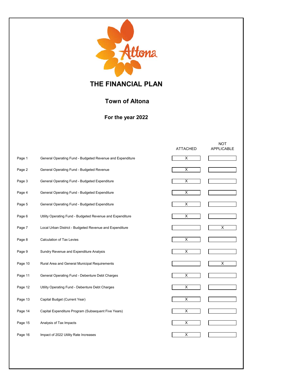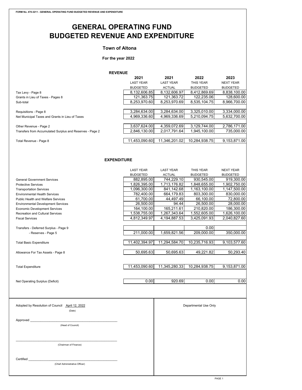# **GENERAL OPERATING FUND BUDGETED REVENUE AND EXPENDITURE**

#### **Town of Altona**

#### **For the year 2022**

|                                                          | <b>REVENUE</b>   |                  |                 |                  |
|----------------------------------------------------------|------------------|------------------|-----------------|------------------|
|                                                          | 2021             | 2021             | 2022            | 2023             |
|                                                          | <b>LAST YEAR</b> | <b>LAST YEAR</b> | THIS YEAR       | <b>NEXT YEAR</b> |
|                                                          | <b>BUDGETED</b>  | <b>ACTUAL</b>    | <b>BUDGETED</b> | <b>BUDGETED</b>  |
| Tax Levy - Page 8                                        | 8.132.606.85     | 8,132,606.97     | 8,412,869.69    | 8,838,100.00     |
| Grants in Lieu of Taxes - Pages 8                        | 121,363.75       | 121,363.72       | 122,235.06      | 128,600.00       |
| Sub-total                                                | 8,253,970.60     | 8,253,970.69     | 8,535,104.75    | 8,966,700.00     |
|                                                          |                  |                  |                 |                  |
| Requisitions - Page 8                                    | 3,284,634.00     | 3.284.634.00     | 3.325.010.00    | 3,334,000.00     |
| Net Municipal Taxes and Grants in Lieu of Taxes          | 4,969,336.60     | 4,969,336.69     | 5,210,094.75    | 5,632,700.00     |
|                                                          |                  |                  |                 |                  |
| Other Revenue - Page 2                                   | 3,637,624.00     | 4.359.072.69     | 3.129.744.00    | 2,786,171.00     |
| Transfers from Accumulated Surplus and Reserves - Page 2 | 2,846,130.00     | 2,017,791.64     | 1.945.100.00    | 735.000.00       |
|                                                          |                  |                  |                 |                  |
| Total Revenue - Page 8                                   | 11,453,090.60    | 11,346,201.02    | 10,284,938.75   | 9,153,871.00     |
|                                                          |                  |                  |                 |                  |
|                                                          |                  |                  |                 |                  |

#### **EXPENDITURE**

|                                                           | <b>LAST YEAR</b> | <b>LAST YEAR</b> | THIS YEAR             | <b>NEXT YEAR</b> |
|-----------------------------------------------------------|------------------|------------------|-----------------------|------------------|
|                                                           | <b>BUDGETED</b>  | <b>ACTUAL</b>    | <b>BUDGETED</b>       | <b>BUDGETED</b>  |
| <b>General Government Services</b>                        | 882,895.00       | 744,229.10       | 930,545.00            | 919,300.00       |
| <b>Protective Services</b>                                | 1,826,395.00     | 1,713,176.82     | 1,848,655.00          | 1,902,750.00     |
| <b>Transportation Services</b>                            | 1,096,300.00     | 841,142.68       | 1,163,100.00          | 1,147,500.00     |
| <b>Environmental Health Services</b>                      | 782,400.00       | 664,179.83       | 803,300.00            | 830,000.00       |
| Public Health and Welfare Services                        | 61,700.00        | 44,497.49        | 66,100.00             | 72,800.00        |
| <b>Environmental Development Services</b>                 | 26,500.00        | 94.44            | 26,500.00             | 28,000.00        |
| <b>Economic Development Services</b>                      | 164,100.00       | 165,211.61       | 210,820.00            | 186,300.00       |
| <b>Recreation and Cultural Services</b>                   | 1,538,755.00     | 1,267,343.64     | 1,552,605.00          | 1,626,100.00     |
| <b>Fiscal Services</b>                                    | 4,812,349.97     | 4,194,887.53     | 3.425.091.93          | 2,040,827.60     |
| Transfers - Deferred Surplus - Page 9                     |                  |                  | 0.00                  |                  |
| - Reserves - Page 5                                       | 211,000.00       | 1,659,821.56     | 209,000.00            | 350,000.00       |
| <b>Total Basic Expenditure</b>                            | 11,402,394.97    | 11,294,584.70    | 10,235,716.93         | 9,103,577.60     |
| Allowance For Tax Assets - Page 8                         | 50,695.63        | 50,695.63        | 49,221.82             | 50,293.40        |
|                                                           |                  |                  |                       |                  |
| <b>Total Expenditure</b>                                  | 11,453,090.60    | 11,345,280.33    | 10,284,938.75         | 9,153,871.00     |
|                                                           | 0.00             | 920.69           | 0.00                  | 0.00             |
| Net Operating Surplus (Deficit)                           |                  |                  |                       |                  |
|                                                           |                  |                  |                       |                  |
| Adopted by Resolution of Council April 12, 2022<br>(Date) |                  |                  | Departmental Use Only |                  |
|                                                           |                  |                  |                       |                  |
| Approved                                                  |                  |                  |                       |                  |
| (Head of Council)                                         |                  |                  |                       |                  |
|                                                           |                  |                  |                       |                  |
|                                                           |                  |                  |                       |                  |
| (Chairman of Finance)                                     |                  |                  |                       |                  |
|                                                           |                  |                  |                       |                  |
| Certified                                                 |                  |                  |                       |                  |
| (Chief Administrative Officer)                            |                  |                  |                       |                  |
|                                                           |                  |                  |                       |                  |
|                                                           |                  |                  |                       |                  |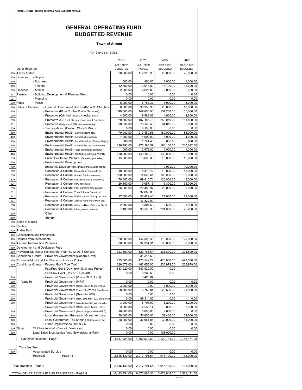## **GENERAL OPERATING FUND BUDGETED REVENUE**

#### **Town of Altona**

#### For the year 2022

| <b>LAST YEAR</b><br><b>LAST YEAR</b><br>THIS YEAR<br>Other Revenue<br><b>BUDGETED</b><br><b>ACTUAL</b><br><b>BUDGETED</b><br><b>Taxes Added</b><br>20,000.00<br>20,000.00<br>100<br>112,318.98<br>Licences<br>- Bicycle<br>100<br>- Business<br>100<br>1,000.00<br>400.00<br>12,500.00<br>12,645.00<br>14,100.00<br>- Trailers<br>100<br>- Animal<br>230 Licences<br>2,000.00<br>2,625.00<br>231<br>Permits<br>- Building, Development & Planning Fees<br>0.00<br>0.00<br>- Plumbing<br>0.00<br>0.00<br>231<br>- Police<br>5,000.00<br>16,783.37<br>Fines<br>200<br>Sales of Service<br>6,500.00<br>30,308.35<br>23,000.00<br>- General Government (Tax Cert/Zon, MTCML, Misc<br>100<br>149,600.00<br>200<br>- Protective (Plum Coulee Police Services)<br>149,600.00<br>157,200.00 | <b>NEXT YEAR</b><br><b>BUDGETED</b><br>25,000.00<br>1,000.00<br>1,000.00<br>15,600.00<br>2,000.00<br>2,000.00 |
|-------------------------------------------------------------------------------------------------------------------------------------------------------------------------------------------------------------------------------------------------------------------------------------------------------------------------------------------------------------------------------------------------------------------------------------------------------------------------------------------------------------------------------------------------------------------------------------------------------------------------------------------------------------------------------------------------------------------------------------------------------------------------------------|---------------------------------------------------------------------------------------------------------------|
|                                                                                                                                                                                                                                                                                                                                                                                                                                                                                                                                                                                                                                                                                                                                                                                     |                                                                                                               |
|                                                                                                                                                                                                                                                                                                                                                                                                                                                                                                                                                                                                                                                                                                                                                                                     |                                                                                                               |
|                                                                                                                                                                                                                                                                                                                                                                                                                                                                                                                                                                                                                                                                                                                                                                                     |                                                                                                               |
|                                                                                                                                                                                                                                                                                                                                                                                                                                                                                                                                                                                                                                                                                                                                                                                     |                                                                                                               |
|                                                                                                                                                                                                                                                                                                                                                                                                                                                                                                                                                                                                                                                                                                                                                                                     |                                                                                                               |
|                                                                                                                                                                                                                                                                                                                                                                                                                                                                                                                                                                                                                                                                                                                                                                                     |                                                                                                               |
|                                                                                                                                                                                                                                                                                                                                                                                                                                                                                                                                                                                                                                                                                                                                                                                     | 0.00<br>0.00                                                                                                  |
|                                                                                                                                                                                                                                                                                                                                                                                                                                                                                                                                                                                                                                                                                                                                                                                     | 0.00<br>0.00                                                                                                  |
|                                                                                                                                                                                                                                                                                                                                                                                                                                                                                                                                                                                                                                                                                                                                                                                     | 5,000.00<br>5,000.00                                                                                          |
|                                                                                                                                                                                                                                                                                                                                                                                                                                                                                                                                                                                                                                                                                                                                                                                     | 10,000.00                                                                                                     |
|                                                                                                                                                                                                                                                                                                                                                                                                                                                                                                                                                                                                                                                                                                                                                                                     | 165,000.00                                                                                                    |
| 4,600.00<br>19,468.02<br>- Protective (Criminal record checks, etc.)<br>200                                                                                                                                                                                                                                                                                                                                                                                                                                                                                                                                                                                                                                                                                                         | 4,600.00<br>4,600.00                                                                                          |
| 210<br>179,800.00<br>197,186.78<br>259,050.00<br>- Protective (Fire Dept-RM cost recoveries & Donations)                                                                                                                                                                                                                                                                                                                                                                                                                                                                                                                                                                                                                                                                            | 181,500.00                                                                                                    |
| 80,335.00<br>79,146.40<br>84,815.00<br>231<br>- Protective (Bldg Insp-RPGA cost recoveries)                                                                                                                                                                                                                                                                                                                                                                                                                                                                                                                                                                                                                                                                                         | 85,000.00                                                                                                     |
| - Transportation (Custom Work & Misc.)<br>0.00<br>18,103.08<br>300                                                                                                                                                                                                                                                                                                                                                                                                                                                                                                                                                                                                                                                                                                                  | 0.00<br>0.00                                                                                                  |
| 170,000.00<br>210,480.53<br>180,000.00<br>400<br>- Environmental Health (Landfill tipping fees)                                                                                                                                                                                                                                                                                                                                                                                                                                                                                                                                                                                                                                                                                     | 185,000.00                                                                                                    |
| 4,000.00<br>4,000.00<br>400<br>- Environmental Health (Landfill oil recycling)<br>11,744.43<br>400<br>- Environmental Health (Landfill land rent-Bunge/Haying)<br>600.00                                                                                                                                                                                                                                                                                                                                                                                                                                                                                                                                                                                                            | 4,000.00<br>4,000.00<br>600.00<br>600.00                                                                      |
| 396,493.00<br>400<br>- Environmental Health (Landfill-RM cost recoveries)<br>270,183.59<br>196,100.00                                                                                                                                                                                                                                                                                                                                                                                                                                                                                                                                                                                                                                                                               | 210,092.00                                                                                                    |
| 1,000.00<br>2,978.00<br>410<br>- Environmental Health (Sale of garbage bag tags)                                                                                                                                                                                                                                                                                                                                                                                                                                                                                                                                                                                                                                                                                                    | 1,000.00<br>1,000.00                                                                                          |
| 130,000.00<br>140,189.73<br>130,000.00<br>420<br>- Environmental Health (MMSM Recycling & WRARS)                                                                                                                                                                                                                                                                                                                                                                                                                                                                                                                                                                                                                                                                                    | 132,000.00                                                                                                    |
| 15,600.00<br>15,000.00<br>510<br>- Public Health and Welfare (Cemetery plot sales)<br>15,000.00                                                                                                                                                                                                                                                                                                                                                                                                                                                                                                                                                                                                                                                                                     | 15,000.00                                                                                                     |
| 600<br>- Environmental Development                                                                                                                                                                                                                                                                                                                                                                                                                                                                                                                                                                                                                                                                                                                                                  |                                                                                                               |
| 10,000.00<br>700<br>- Economic Development (Indust Park Land Rent)                                                                                                                                                                                                                                                                                                                                                                                                                                                                                                                                                                                                                                                                                                                  | 10,000.00                                                                                                     |
| 40,000.00<br>- Recreation & Culture (Recreation Program Fees)<br>40,000.00<br>18,319.42<br>802                                                                                                                                                                                                                                                                                                                                                                                                                                                                                                                                                                                                                                                                                      | 45,000.00                                                                                                     |
| - Recreation & Culture (Aquatic Centre revenues)<br>100,000.00<br>74,629.61<br>100,000.00<br>810                                                                                                                                                                                                                                                                                                                                                                                                                                                                                                                                                                                                                                                                                    | 130,000.00                                                                                                    |
| - Recreation & Culture (MEC revenues & donations)<br>69,410.71<br>123,000.00<br>820<br>70,600.00                                                                                                                                                                                                                                                                                                                                                                                                                                                                                                                                                                                                                                                                                    | 145,000.00                                                                                                    |
| 10,057.15<br>15,300.00<br>821<br>- Recreation & Culture (RPC revenues)<br>20,300.00                                                                                                                                                                                                                                                                                                                                                                                                                                                                                                                                                                                                                                                                                                 | 35,000.00                                                                                                     |
| - Recreation & Culture (Park Camping fees & misc)<br>26,000.00<br>26,000.00<br>28,486.97<br>830                                                                                                                                                                                                                                                                                                                                                                                                                                                                                                                                                                                                                                                                                     | 30,000.00                                                                                                     |
| - Recreation & Culture (Trails & Parks Donations)<br>37,880.00<br>831                                                                                                                                                                                                                                                                                                                                                                                                                                                                                                                                                                                                                                                                                                               |                                                                                                               |
| - Recreation & Culture (FOTG oper/GITP Capital don.)<br>833<br>17,000.00<br>90,422.40<br>21,000.00                                                                                                                                                                                                                                                                                                                                                                                                                                                                                                                                                                                                                                                                                  | 21,000.00                                                                                                     |
| 47,322.00<br>834<br>- Recreation & Culture (Access Field/Skate Park don.)                                                                                                                                                                                                                                                                                                                                                                                                                                                                                                                                                                                                                                                                                                           |                                                                                                               |
| - Recreation & Culture (Altona in Bloom/Memory Gard)<br>2,500.00<br>5,807.50<br>836                                                                                                                                                                                                                                                                                                                                                                                                                                                                                                                                                                                                                                                                                                 | 2,500.00<br>3,000.00                                                                                          |
| 7,100.00<br>95,523.36<br>291,000.00<br>- Recreation & Culture (Library rental revenue)<br>840                                                                                                                                                                                                                                                                                                                                                                                                                                                                                                                                                                                                                                                                                       | 25,200.00                                                                                                     |
| - Other<br>100<br>- Sundry<br>100                                                                                                                                                                                                                                                                                                                                                                                                                                                                                                                                                                                                                                                                                                                                                   |                                                                                                               |
| Sales of Goods<br>300                                                                                                                                                                                                                                                                                                                                                                                                                                                                                                                                                                                                                                                                                                                                                               |                                                                                                               |
| Rentals<br>100                                                                                                                                                                                                                                                                                                                                                                                                                                                                                                                                                                                                                                                                                                                                                                      |                                                                                                               |
| <b>Trailer Park</b><br>100                                                                                                                                                                                                                                                                                                                                                                                                                                                                                                                                                                                                                                                                                                                                                          |                                                                                                               |
| <b>Concessions and Franchises</b><br>100                                                                                                                                                                                                                                                                                                                                                                                                                                                                                                                                                                                                                                                                                                                                            |                                                                                                               |
|                                                                                                                                                                                                                                                                                                                                                                                                                                                                                                                                                                                                                                                                                                                                                                                     |                                                                                                               |
| 142,326.35<br>110,000.00<br>Returns from Investments<br>120,000.00<br>100                                                                                                                                                                                                                                                                                                                                                                                                                                                                                                                                                                                                                                                                                                           | 120,000.00                                                                                                    |
| 30,000.00<br>Tax and Redemption Penalties<br>37,334.31<br>30,000.00<br>100                                                                                                                                                                                                                                                                                                                                                                                                                                                                                                                                                                                                                                                                                                          | 30,000.00                                                                                                     |
| Development and Dedication Fees<br>100                                                                                                                                                                                                                                                                                                                                                                                                                                                                                                                                                                                                                                                                                                                                              |                                                                                                               |
| Provincial Municipal Tax Sharing (Pop. 4,212-2016 Census)<br>323,800.00<br>323,768.84<br>323,800.00<br>100                                                                                                                                                                                                                                                                                                                                                                                                                                                                                                                                                                                                                                                                          | 323,800.00                                                                                                    |
| Conditional Grants - Provincial Government (General Gov't)<br>31,316.69<br>100                                                                                                                                                                                                                                                                                                                                                                                                                                                                                                                                                                                                                                                                                                      |                                                                                                               |
| 473,549.22<br>Provincial Municipal Tax Sharing - Justice / Police<br>473,600.00<br>473,600.00<br>200                                                                                                                                                                                                                                                                                                                                                                                                                                                                                                                                                                                                                                                                                | 473,600.00                                                                                                    |
| Conditional Grants - Federal Gov't (Fuel Tax)<br>226,676.00<br>463,655.00<br>236,979.00<br>100                                                                                                                                                                                                                                                                                                                                                                                                                                                                                                                                                                                                                                                                                      | 236,979.00                                                                                                    |
| - Fed/Prov Gov't (Downtown Drainage Project)<br>883,920.00<br>883,920.00                                                                                                                                                                                                                                                                                                                                                                                                                                                                                                                                                                                                                                                                                                            | 0.00                                                                                                          |
| - Fed/Prov Gov't (Covid-19 Restart)<br>0.00<br>6,269.60                                                                                                                                                                                                                                                                                                                                                                                                                                                                                                                                                                                                                                                                                                                             | 0.00                                                                                                          |
| 5.423.04<br>- Provincial Government (Police CFP Grant)<br>200                                                                                                                                                                                                                                                                                                                                                                                                                                                                                                                                                                                                                                                                                                                       |                                                                                                               |
| 0.00<br>0.00<br>300<br>(page 9)<br>- Provincial Government (MRIP)                                                                                                                                                                                                                                                                                                                                                                                                                                                                                                                                                                                                                                                                                                                   | 0.00<br>0.00                                                                                                  |
| - Provincial Government (100% Green Team-Transp.)<br>3,000.00<br>0.00<br>300                                                                                                                                                                                                                                                                                                                                                                                                                                                                                                                                                                                                                                                                                                        | 3,000.00<br>3,000.00                                                                                          |
| - Provincial Government (Dutch Elm, WNV & GIA-Trans.)<br>20,500.00<br>3,758.04<br>20,500.00<br>300                                                                                                                                                                                                                                                                                                                                                                                                                                                                                                                                                                                                                                                                                  | 21,000.00                                                                                                     |
| - Provincial Government (Grant-landfill)<br>0.00<br>400<br>0.00                                                                                                                                                                                                                                                                                                                                                                                                                                                                                                                                                                                                                                                                                                                     | 0.00                                                                                                          |
| 0.00<br>99,314.00<br>- Provincial Government (MEC EPS, MB 150, Cenotaph, Mi<br>800                                                                                                                                                                                                                                                                                                                                                                                                                                                                                                                                                                                                                                                                                                  | 0.00<br>0.00                                                                                                  |
| - Provincial Government (Canada Day, Can Summer Jobs)<br>5,701.00<br>800<br>3,200.00<br>- Provincial Government (100% Green Team - Rec.)<br>3,000.00<br>12,565.14                                                                                                                                                                                                                                                                                                                                                                                                                                                                                                                                                                                                                   | 3,200.00<br>3,200.00<br>3,000.00<br>3,000.00                                                                  |
| - Provincial Government (Sector Support Grant-MEC)<br>15,000.00<br>10,000.00<br>800                                                                                                                                                                                                                                                                                                                                                                                                                                                                                                                                                                                                                                                                                                 | 9,000.00<br>0.00                                                                                              |
| - Local Government Recreation Grant (RM Grant)<br>50,000.00<br>50,600.00<br>52,400.00<br>800                                                                                                                                                                                                                                                                                                                                                                                                                                                                                                                                                                                                                                                                                        | 54,000.00                                                                                                     |
| - Local Government Tax Sharing (Fringe area-RM)<br>28,000.00<br>32,951.08<br>30,000.00<br>100                                                                                                                                                                                                                                                                                                                                                                                                                                                                                                                                                                                                                                                                                       | 31,000.00                                                                                                     |
| 0.00<br>0.00<br>100<br>- Other Organizations (ACF Grant)                                                                                                                                                                                                                                                                                                                                                                                                                                                                                                                                                                                                                                                                                                                            | 0.00<br>0.00                                                                                                  |
| 0.00<br>Other<br>0.00<br>700<br>VLT Revenues (for Economic Development)                                                                                                                                                                                                                                                                                                                                                                                                                                                                                                                                                                                                                                                                                                             | 0.00<br>0.00                                                                                                  |
| Land Sales & Lot Levies (incl. New Industrial Park)<br>0.00<br>0.00<br>108,000.00<br>100                                                                                                                                                                                                                                                                                                                                                                                                                                                                                                                                                                                                                                                                                            |                                                                                                               |
| 3,637,624.00<br>4,359,072.69<br>3,129,744.00<br>Total Other Revenue - Page 1                                                                                                                                                                                                                                                                                                                                                                                                                                                                                                                                                                                                                                                                                                        | 2,786,171.00                                                                                                  |
|                                                                                                                                                                                                                                                                                                                                                                                                                                                                                                                                                                                                                                                                                                                                                                                     |                                                                                                               |
| <b>Transfers From</b>                                                                                                                                                                                                                                                                                                                                                                                                                                                                                                                                                                                                                                                                                                                                                               |                                                                                                               |
| 0.00<br><b>Accumulated Surplus</b><br>0.00<br>100                                                                                                                                                                                                                                                                                                                                                                                                                                                                                                                                                                                                                                                                                                                                   | 0.00<br>0.00                                                                                                  |
| 2,017,791.64<br>1,945,100.00<br>Reserves<br>- Page 13<br>2,846,130.00                                                                                                                                                                                                                                                                                                                                                                                                                                                                                                                                                                                                                                                                                                               | 735,000.00                                                                                                    |
|                                                                                                                                                                                                                                                                                                                                                                                                                                                                                                                                                                                                                                                                                                                                                                                     |                                                                                                               |
| 2,846,130.00<br>2,017,791.64<br>1,945,100.00<br>Total Transfers - Page 1                                                                                                                                                                                                                                                                                                                                                                                                                                                                                                                                                                                                                                                                                                            | 735,000.00                                                                                                    |
| TOTAL OTHER REVENUE AND TRANSFERS - PAGE 8<br>6,483,754.00<br>6,376,864.33<br>5,074,844.00                                                                                                                                                                                                                                                                                                                                                                                                                                                                                                                                                                                                                                                                                          | 3,521,171.00                                                                                                  |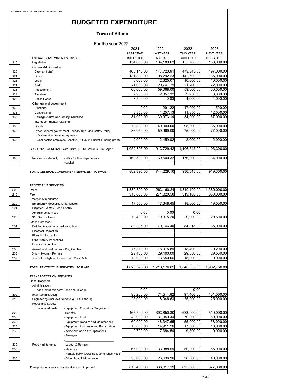## **BUDGETED EXPENDITURE**

## **Town of Altona**

#### For the year 2022

|            |                                                                  |                                                                               | 2021                     | 2021                    | 2022                     | 2023                     |
|------------|------------------------------------------------------------------|-------------------------------------------------------------------------------|--------------------------|-------------------------|--------------------------|--------------------------|
|            |                                                                  |                                                                               | <b>LAST YEAR</b>         | <b>LAST YEAR</b>        | THIS YEAR                | <b>NEXT YEAR</b>         |
|            | <b>GENERAL GOVERNMENT SERVICES</b>                               |                                                                               | <b>BUDGETED</b>          | <b>ACTUAL</b>           | <b>BUDGETED</b>          | <b>BUDGETED</b>          |
| 110        | Legislative                                                      |                                                                               | 154,600.00               | 134,183.63              | 155,700.00               | 158,000.00               |
|            | General Administrative                                           |                                                                               |                          |                         |                          |                          |
| 120<br>121 | Clerk and staff<br>Office                                        |                                                                               | 465,145.00<br>131,300.00 | 447,723.91<br>98,292.23 | 473,345.00<br>142,500.00 | 497,000.00<br>135,000.00 |
| 121        | Legal                                                            |                                                                               | 8,000.00                 | 12,625.07               | 10,000.00                | 10,000.00                |
| 121        | Audit                                                            |                                                                               | 21,000.00                | 20,747.79               | 21,200.00                | 22,000.00                |
| 121        | Assessment                                                       |                                                                               | 60,000.00                | 59,068.00               | 59,000.00                | 60,000.00                |
| 124        | Taxation                                                         |                                                                               | 2,250.00                 | 2,057.32                | 2,250.00                 | 3,800.00                 |
| 129        | Police Board                                                     |                                                                               | 3,500.00                 | 0.00                    | 4,000.00                 | 4,000.00                 |
|            | Other general government                                         |                                                                               |                          |                         |                          |                          |
| 130        | Elections                                                        |                                                                               | 0.00                     | 291.22                  | 17,000.00                | 500.00                   |
| 131        | Conventions                                                      |                                                                               | 8,350.00                 | 1,257.13                | 11,350.00                | 12,000.00                |
| 136        | Damage claims and liability insurance                            |                                                                               | 31,000.00                | 30,973.14               | 34,000.00                | 37,000.00                |
|            | Intergovernmental relations                                      |                                                                               |                          |                         |                          |                          |
| 136        | Grants                                                           |                                                                               | 78,300.00                | 49,000.00               | 98,300.00                | 85,000.00                |
| 136        |                                                                  | Other General government - sundry (Includes Saftey Policy)                    | 86,950.00                | 59,969.00               | 75,900.00                | 77,000.00                |
|            | Past-service pension payments                                    |                                                                               |                          |                         |                          |                          |
| 136        |                                                                  | Unallocated employee Benefits (PR tax in Basket Funding grant)                | 2,000.00                 | $-2,459.02$             | 2,000.00                 | 2,000.00                 |
|            |                                                                  | SUB-TOTAL GENERAL GOVERNMENT SERVICES - To Page 1                             | 1,052,395.00             | 913,729.42              | 1,106,545.00             | 1,103,300.00             |
|            |                                                                  |                                                                               |                          |                         |                          |                          |
| 100        | Recoveries (deduct)                                              | - utility & other departments                                                 | -169,500.00              | -169,500.32             | $-176,000.00$            | $-184,000.00$            |
|            |                                                                  | - capital                                                                     |                          |                         |                          |                          |
|            |                                                                  |                                                                               |                          |                         |                          |                          |
|            |                                                                  | TOTAL GENERAL GOVERNMENT SERVICES - TO PAGE 1                                 | 882,895.00               | 744,229.10              | 930,545.00               | 919,300.00               |
|            |                                                                  |                                                                               |                          |                         |                          |                          |
|            | PROTECTIVE SERVICES                                              |                                                                               |                          |                         |                          |                          |
| 200        | Police                                                           |                                                                               | 1,330,800.00             | 1,263,160.24            | 1,340,100.00             | 1,380,000.00             |
| 210        | Fire                                                             |                                                                               | 313,600.00               | 271,820.58              | 319,100.00               | 330,000.00               |
|            | <b>Emergency measures</b>                                        |                                                                               |                          |                         |                          |                          |
| 220        | <b>Emergency Measures Organization</b>                           |                                                                               | 17,550.00                | 17,648.45               | 18,600.00                | 19,500.00                |
| 221        | Disaster Events / Flood Control                                  |                                                                               |                          |                         |                          |                          |
|            | Ambulance services                                               |                                                                               | 0.00                     | 0.00                    | 0.00                     |                          |
| 220        | 911 Service Fees                                                 |                                                                               | 19,400.00                | 19,375.20               | 20,000.00                | 20,500.00                |
|            | Other protection:                                                |                                                                               |                          |                         |                          |                          |
| 231        | Building inspection / By-Law Officer                             |                                                                               | 80,335.00                | 79,146.40               | 84,815.00                | 85,000.00                |
|            | Electrical inspection                                            |                                                                               |                          |                         |                          |                          |
|            | Plumbing inspection                                              |                                                                               |                          |                         |                          |                          |
|            | Other safety inspections                                         |                                                                               |                          |                         |                          |                          |
|            | License inspection                                               |                                                                               | 17,310.00                | 18,975.89               | 18,490.00                | 19,200.00                |
| 230        | Animal and pest control - Dog Catcher<br>Other - Hydrant Rentals |                                                                               | 29,400.00                | 29,400.00               | 29,550.00                | 29,550.00                |
| 232<br>232 | Other - Fire fighter Hours - Town Only Calls                     |                                                                               | 18,000.00                | 13,650.06               | 18,000.00                | 19,000.00                |
|            |                                                                  |                                                                               |                          |                         |                          |                          |
|            |                                                                  | TOTAL PROTECTIVE SERVICES - TO PAGE 1                                         | 1,826,395.00             | 1,713,176.82            | 1,848,655.00             | 1,902,750.00             |
|            |                                                                  |                                                                               |                          |                         |                          |                          |
|            | <b>TRANSPORTATION SERVICES</b>                                   |                                                                               |                          |                         |                          |                          |
|            | Road Transport                                                   |                                                                               |                          |                         |                          |                          |
|            | Administration                                                   |                                                                               |                          |                         |                          |                          |
|            |                                                                  | Road Commissioners' Fees and Mileage                                          | 0.00                     |                         | 0.00                     |                          |
| 300        | <b>Total Administration</b>                                      |                                                                               | 93,200.00                | 71,511.82               | 97,400.00                | 101,000.00               |
| 310        |                                                                  | Engineering (Includes Surveys & GPS Labour)                                   | 25,000.00                | 8,046.63                | 25,000.00                | 25,000.00                |
|            | Roads and Streets                                                |                                                                               |                          |                         |                          |                          |
|            | Unallocated costs                                                | - Equipment Operators' Wages and                                              |                          |                         |                          |                          |
| 320        |                                                                  | <b>Benefits</b>                                                               | 465,500.00               | 393,850.30              | 533,900.00               | 510,000.00               |
| 330        |                                                                  | - Equipment Fuel                                                              | 42,000.00                | 31,959.44               | 70,000.00                | 60,000.00                |
| 330        |                                                                  | - Equipment Repairs and Maintenance<br>- Equipment Insurance and Registration | 60,000.00                | 48,347.65<br>14,911.26  | 55,000.00<br>17,000.00   | 58,000.00                |
| 330        |                                                                  | - Workshop and Yard Operations                                                | 15,000.00<br>9,700.00    | 7,364.54                | 9,500.00                 | 18,000.00<br>10,000.00   |
| 330        |                                                                  |                                                                               |                          |                         |                          |                          |
|            |                                                                  | - Surveyor                                                                    |                          |                         |                          |                          |
| 330        | Road maintenance                                                 | - Labour & Rentals                                                            |                          |                         |                          |                          |
| 330        |                                                                  | - Materials                                                                   | 65,000.00                | 33,388.59               | 50,000.00                | 55,000.00                |
|            |                                                                  | - Rentals (CPR Crossing Maintenance Fees)                                     |                          |                         |                          |                          |
| 330        |                                                                  | - Other Road Maintenance                                                      | 38,000.00                | 26,636.96               | 38,000.00                | 40,000.00                |
|            |                                                                  |                                                                               |                          |                         |                          |                          |
|            |                                                                  | Transportation services sub-total forward to page 4                           | 813,400.00               | 636,017.19              | 895,800.00               | 877,000.00               |
|            |                                                                  |                                                                               |                          |                         |                          |                          |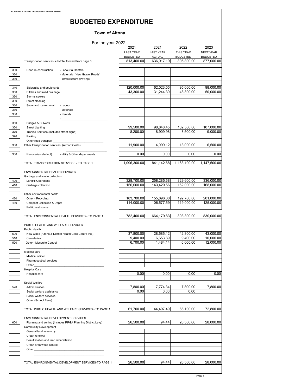# **BUDGETED EXPENDITURE**

## **Town of Altona**

| For the year 2022                                                                                         | 2021<br><b>LAST YEAR</b><br><b>BUDGETED</b> | 2021<br><b>LAST YEAR</b><br><b>ACTUAL</b> | 2022<br>THIS YEAR<br><b>BUDGETED</b> | 2023<br><b>NEXT YEAR</b><br><b>BUDGETED</b> |
|-----------------------------------------------------------------------------------------------------------|---------------------------------------------|-------------------------------------------|--------------------------------------|---------------------------------------------|
| Transportation services sub-total forward from page 3                                                     | 813,400.00                                  | 636,017.19                                | 895,800.00                           | 877,000.00                                  |
| Road re-construction<br>- Labour & Rentals<br>- Materials (New Gravel Roads)<br>- Infrastructure (Paving) |                                             |                                           |                                      |                                             |
| Sidewalks and boulevards                                                                                  | 120,000.00                                  | 62,023.55                                 | 95,000.00                            | 98,000.00                                   |
| Ditches and road drainage                                                                                 | 43,300.00                                   | 31,244.39                                 | 48,300.00                            | 50,000.00                                   |
| Storms sewers<br>Street cleaning                                                                          |                                             |                                           |                                      |                                             |
| Snow and ice removal<br>- Labour                                                                          |                                             |                                           |                                      |                                             |
| - Materials<br>- Rentals                                                                                  |                                             |                                           |                                      |                                             |
| <b>Bridges &amp; Culverts</b>                                                                             |                                             |                                           |                                      |                                             |
| <b>Street Lighting</b>                                                                                    | 99,500.00                                   | 98,848.45                                 | 102,500.00                           | 107,000.00                                  |
| Traffice Services (Includes street signs)<br>Parking                                                      | 8,200.00                                    | 8,909.98                                  | 8,500.00                             | 9,000.00                                    |
| Other road transport<br>Other transportation services (Airport Costs)                                     | 11,900.00                                   | 4,099.12                                  | 13,000.00                            | 6,500.00                                    |
| Recoveries (deduct)<br>- utility & Other departments                                                      | 0.00                                        | 0.00                                      | 0.00                                 | 0.00                                        |
| TOTAL TRANSPORTATION SERVICES - TO PAGE 1                                                                 | 1,096,300.00                                | 841,142.68                                | 1,163,100.00                         | 1,147,500.00                                |
| ENVIRONMENTAL HEALTH SERVICES                                                                             |                                             |                                           |                                      |                                             |
| Garbage and waste collection                                                                              |                                             |                                           |                                      |                                             |
| <b>Landfill Operations</b>                                                                                | 328,700.00                                  | 258,285.68                                | 329,600.00                           | 336,000.00                                  |
| Garbage collection                                                                                        | 156,000.00                                  | 143,420.56                                | 162,000.00                           | 168,000.00                                  |
| Other environmental health                                                                                |                                             |                                           |                                      |                                             |
| Other - Recycling<br>Compost Collection & Depot                                                           | 183,700.00<br>114,000.00                    | 155,896.00<br>106,577.59                  | 192,700.00<br>119,000.00             | 201,000.00<br>125,000.00                    |
| Public rest rooms                                                                                         |                                             |                                           |                                      |                                             |
| TOTAL ENVIRONMENTAL HEALTH SERVICES - TO PAGE 1                                                           | 782,400.00                                  | 664,179.83                                | 803,300.00                           | 830,000.00                                  |
| PUBLIC HEALTH AND WELFARE SERVICES                                                                        |                                             |                                           |                                      |                                             |
| Public Health                                                                                             |                                             |                                           |                                      |                                             |
| New Clinic (Altona & District Health Care Centre Inc.)<br>Cemeteries                                      | 37,800.00<br>9,400.00                       | 28,585.12<br>6,653.89                     | 42,300.00<br>9,400.00                | 43,000.00<br>10,000.00                      |
| Other - Mosquito Control                                                                                  | 6,700.00                                    | 1,484.14                                  | 6,600.00                             | 12,000.00                                   |
| Medical care                                                                                              |                                             |                                           |                                      |                                             |
| Medical officer<br>Pharmaceutical services                                                                |                                             |                                           |                                      |                                             |
| Other                                                                                                     |                                             |                                           |                                      |                                             |
| <b>Hospital Care</b>                                                                                      |                                             |                                           |                                      |                                             |
| Hospital care                                                                                             | 0.00                                        | 0.00                                      | 0.00                                 | 0.00                                        |
| Social Welfare                                                                                            |                                             |                                           |                                      |                                             |
| Administration<br>Social welfare assistance                                                               | 7,800.00<br>0.00                            | 7,774.34<br>0.00                          | 7,800.00<br>0.00                     | 7,800.00                                    |
| Social welfare services                                                                                   |                                             |                                           |                                      |                                             |
| Other (School Fees)                                                                                       |                                             |                                           |                                      |                                             |
| TOTAL PUBLIC HEALTH AND WELFARE SERVICES - TO PAGE 1                                                      | 61,700.00                                   | 44,497.49                                 | 66,100.00                            | 72,800.00                                   |
| ENVIRONMENTAL DEVELOPMENT SERVICES                                                                        |                                             |                                           |                                      |                                             |
| Planning and zoning (includes RPGA Planning District Levy)<br><b>Community Development</b>                | 26,500.00                                   | 94.44                                     | 26,500.00                            | 28,000.00                                   |
| General land assembly                                                                                     |                                             |                                           |                                      |                                             |
| Urban renewal                                                                                             |                                             |                                           |                                      |                                             |
| Beautification and land rehabilitation                                                                    |                                             |                                           |                                      |                                             |
| Urban area weed control<br>Other                                                                          |                                             |                                           |                                      |                                             |
|                                                                                                           |                                             |                                           |                                      |                                             |
| TOTAL ENVIRONMENTAL DEVELOPMENT SERVICES-TO PAGE 1                                                        | 26,500.00                                   | 94.44                                     | 26,500.00                            | 28,000.00                                   |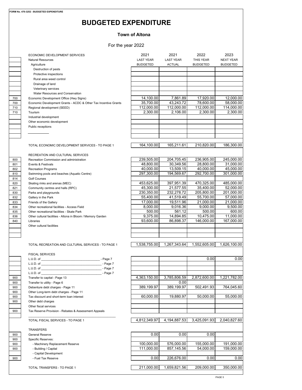# **BUDGETED EXPENDITURE**

#### **Town of Altona**

#### For the year 2022

| ECONOMIC DEVELOPMENT SERVICES                                   | 2021             | 2021             | 2022            | 2023             |
|-----------------------------------------------------------------|------------------|------------------|-----------------|------------------|
| <b>Natural Resources</b>                                        | <b>LAST YEAR</b> | <b>LAST YEAR</b> | THIS YEAR       | <b>NEXT YEAR</b> |
| Agriculture                                                     | <b>BUDGETED</b>  | <b>ACTUAL</b>    | <b>BUDGETED</b> | <b>BUDGETED</b>  |
| Destruction of pests                                            |                  |                  |                 |                  |
| Protective inspections                                          |                  |                  |                 |                  |
| Rural area weed control                                         |                  |                  |                 |                  |
| Drainage of land                                                |                  |                  |                 |                  |
| Veterinary services                                             |                  |                  |                 |                  |
| Water Resources and Conservation                                |                  |                  |                 |                  |
| Economic Development Office (Hwy Signs)                         | 14,100.00        | 7,861.89         | 17,920.00       | 12,000.00        |
| Economic Development Grants - ACDC & Other Tax Incentive Grants | 35,700.00        | 43.243.72        | 78,600.00       | 58,000.00        |
| Regional development (SEED)                                     | 112,000.00       | 112,000.00       | 112,000.00      | 114,000.00       |
| Tourism                                                         | 2,300.00         | 2,106.00         | 2,300.00        | 2,300.00         |
| Industrial development                                          |                  |                  |                 |                  |
| Other economic development                                      |                  |                  |                 |                  |
| Public receptions                                               |                  |                  |                 |                  |
|                                                                 |                  |                  |                 |                  |
|                                                                 |                  |                  |                 |                  |
| TOTAL ECONOMIC DEVELOPMENT SERVICES - TO PAGE 1                 | 164,100.00       | 165,211.61       | 210,820.00      | 186,300.00       |
| RECREATION AND CULTURAL SERVICES                                |                  |                  |                 |                  |
| Recreation Commission and administration                        | 239,505.00       | 204,705.45       | 236,905.00      | 245,000.00       |
| Events & Festivals                                              | 48,800.00        | 30,349.56        | 28,800.00       | 31,000.00        |
| <b>Recreation Programs</b>                                      | 40,000.00        | 13.509.15        | 40,000.00       | 45,000.00        |
| Swimming pools and beaches (Aquatic Centre)                     | 297,300.00       | 194,569.67       | 292.700.00      | 301,000.00       |
| <b>Golf Courses</b>                                             |                  |                  |                 |                  |
| Skating rinks and arenas (MEC)                                  | 453,625.00       | 397,951.39       | 470,325.00      | 485,000.00       |
| Community centres and halls (RPC)                               | 45,300.00        | 21,577.55        | 35,400.00       | 52,000.00        |
| Parks and playgrounds                                           | 230,350.00       | 232,278.72       | 205,800.00      | 201,000.00       |
|                                                                 | 55,400.00        | 41,519.49        | 55,700.00       | 57,000.00        |
| Gallery in the Park                                             |                  |                  | 21,000.00       |                  |
| Friends of the Gallery                                          | 17,000.00        | 19,511.96        |                 | 21,000.00        |
| Other recreational facilities - Access Field                    | 8,000.00         | 9,016.36         | 9,000.00        | 9,500.00         |
| Other recreational facilities - Skate Park                      | 500.00           | 561.12           | 500.00          | 600.00           |
| Other cultural facilities - Altona in Bloom / Memory Garden     | 9,375.00         | 14,894.85        | 10,475.00       | 11,000.00        |
| Libraries                                                       | 93,600.00        | 86,898.37        | 146,000.00      | 167,000.00       |
| Other cultural facilities                                       |                  |                  |                 |                  |
|                                                                 |                  |                  |                 |                  |
| TOTAL RECREATION AND CULTURAL SERVICES - TO PAGE 1              | 1,538,755.00     | 1,267,343.64     | 1,552,605.00    | 1,626,100.00     |
| <b>FISCAL SERVICES</b>                                          |                  |                  |                 |                  |
| _ - Page 7                                                      |                  |                  | 0.00            | 0.00             |
| L.U.D. of Page 7                                                |                  |                  |                 |                  |
| L.U.D. of<br>- Page 7                                           |                  |                  |                 |                  |
| L.U.D. of $\_$<br>- Page 7                                      |                  |                  |                 |                  |
| Transfer to capital - Page 13                                   | 4,363,150.00     | 3,785,806.59     | 2,872,600.00    | 1,221,782.00     |
| Transfer to utility - Page 6                                    |                  | 0.00             |                 |                  |
| Debenture debt charges - Page 11                                | 389,199.97       | 389,199.97       | 502,491.93      | 764,045.60       |
| Other Long-term debt charges - Page 11                          |                  |                  |                 |                  |
| Tax discount and short-term loan interest                       | 60.000.00        | 19,880.97        | 50,000.00       | 55,000.00        |
| Other debt charges                                              |                  |                  |                 |                  |
| Other fiscal services                                           |                  |                  |                 |                  |
| Tax Reserve Provision - Rebates & Assessment Appeals            |                  |                  |                 |                  |
| TOTAL FISCAL SERVICES - TO PAGE 1                               | 4,812,349.97     | 4,194,887.53     | 3,425,091.93    | 2,040,827.60     |
|                                                                 |                  |                  |                 |                  |
| TRANSFERS                                                       | 0.00             | 0.00             | 0.00            |                  |
| <b>General Reserve</b>                                          |                  |                  |                 |                  |
| <b>Specific Reserves:</b>                                       |                  |                  |                 |                  |
| - Machinery Replacement Reserve                                 | 100,000.00       | 576,000.00       | 155,000.00      | 191,000.00       |
| - Building / Capital                                            | 111,000.00       | 857,145.56       | 54,000.00       | 159,000.00       |
| - Capital Development                                           |                  |                  |                 |                  |
| - Fuel Tax Reserve                                              | 0.00             | 226,676.00       | 0.00            | 0.00             |
| TOTAL TRANSFERS - TO PAGE 1                                     | 211,000.00       | 1,659,821.56     | 209,000.00      | 350,000.00       |
|                                                                 |                  |                  |                 |                  |

900

 $814$ 

900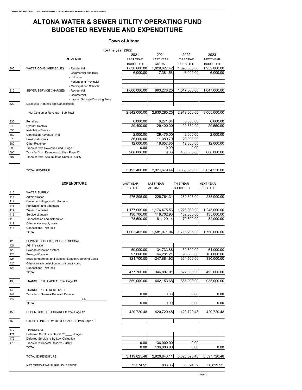# **ALTONA WATER & SEWER UTILITY OPERATING FUND BUDGETED REVENUE AND EXPENDITURE**

### **Town of Altona**

|     |                                                      | For the year 2022             |                  |                  |                 |                  |
|-----|------------------------------------------------------|-------------------------------|------------------|------------------|-----------------|------------------|
|     |                                                      |                               | 2021             | 2021             | 2022            | 2023             |
|     |                                                      | <b>REVENUE</b>                | <b>LAST YEAR</b> | <b>LAST YEAR</b> | THIS YEAR       | <b>NEXT YEAR</b> |
|     |                                                      |                               | <b>BUDGETED</b>  | <b>ACTUAL</b>    | <b>BUDGETED</b> | <b>BUDGETED</b>  |
|     |                                                      |                               |                  |                  |                 |                  |
| 300 | <b>WATER CONSUMER SALES</b>                          | - Residential                 | 1,830,000.00     | 1,829,627.42     | 1,896,000.00    | 1,952,000.00     |
|     |                                                      | - Commercial and Bulk         | 6,000.00         | 7,381.58         | 6,000.00        | 6,000.00         |
|     |                                                      | - Industrial                  |                  |                  |                 |                  |
|     |                                                      | - Federal and Provincial      |                  |                  |                 |                  |
|     |                                                      | - Municipal and Schools       |                  |                  |                 |                  |
| 310 | SEWER SERVICE CHARGES                                | - Residential                 | 1,006,000.00     | 993,276.25       | 1,017,000.00    | 1,047,000.00     |
|     |                                                      | - Commercial                  |                  |                  |                 |                  |
|     |                                                      | - Lagoon Septage Dumping Fees |                  |                  |                 |                  |
|     |                                                      |                               |                  |                  |                 |                  |
| 320 | Discounts, Refunds and Cancellations                 |                               |                  |                  |                 |                  |
|     |                                                      |                               |                  |                  |                 |                  |
|     | Net Consumer Revenue - Sub Total                     |                               | 2,842,000.00     | 2.830.285.25     | 2.919.000.00    | 3,005,000.00     |
|     |                                                      |                               |                  |                  |                 |                  |
| 330 | Penalties                                            |                               | 6,000.00         | 8,271.64         | 6,000.00        | 6,000.00         |
| 340 | <b>Hydrant Rentals</b>                               |                               | 29,400.00        | 29,400.00        | 29,550.00       | 29,550.00        |
| 350 | <b>Installation Service</b>                          |                               |                  |                  |                 |                  |
| 360 | Connection Revenue - Net                             |                               | 2,000.00         | 29,475.00        | 2,000.00        | 2,000.00         |
| 370 | <b>Provincial Grants</b>                             |                               | 36,000.00        | 11,389.70        | 20,000.00       |                  |
| 380 | Other Revenue                                        |                               | 12,000.00        | 18,857.85        | 12,000.00       | 12,000.00        |
|     |                                                      |                               | 0.00             |                  |                 |                  |
| 390 | Transfer from Revenue Fund - Page 5                  |                               |                  | 0.00             | 0.00            |                  |
| 396 | Transfer from Reserves - Utility - Page 13           |                               | 268,000.00       | 0.00             | 400,000.00      | 600,000.00       |
| 397 | Transfer from Accumulated Surplus - Utility          |                               |                  |                  |                 |                  |
|     |                                                      |                               |                  |                  |                 |                  |
|     |                                                      |                               |                  |                  |                 |                  |
|     | <b>TOTAL REVENUE</b>                                 |                               | 3.195.400.00     | 2.927.679.44     | 3.388.550.00    | 3,654,550.00     |
|     |                                                      |                               |                  |                  |                 |                  |
|     |                                                      |                               |                  |                  |                 |                  |
|     |                                                      | <b>EXPENDITURE</b>            | <b>LAST YEAR</b> | <b>LAST YEAR</b> | THIS YEAR       | <b>NEXT YEAR</b> |
|     |                                                      |                               |                  |                  |                 |                  |
|     |                                                      |                               | <b>BUDGETED</b>  | <b>ACTUAL</b>    | <b>BUDGETED</b> | <b>BUDGETED</b>  |
| 410 | <b>WATER SUPPLY</b>                                  |                               |                  |                  |                 |                  |
| 411 | Administration                                       |                               | 276,205.00       | 226,764.31       | 282,605.00      | 288,000.00       |
| 412 | Customer billings and collections                    |                               |                  |                  |                 |                  |
| 413 | Purification and treatment                           |                               |                  |                  |                 |                  |
| 414 | <b>Water Purchases</b>                               |                               | 1,177,000.00     | 1,176,475.56     | 1,220,000.00    | 1,245,000.00     |
| 415 | Service of supply                                    |                               | 130,700.00       | 116,702.93       | 132,800.00      | 135,000.00       |
| 416 | Transmission and distribution                        |                               | 78,500.00        | 61,129.14        | 79,800.00       | 82,000.00        |
|     |                                                      |                               |                  |                  |                 |                  |
| 417 | Other water supply costs                             |                               |                  |                  |                 |                  |
| 418 | Connections - Net loss                               |                               |                  |                  |                 |                  |
|     | <b>TOTAL</b>                                         |                               | 1,662,405.00     | 1,581,071.94     | 1,715,205.00    | 1,750,000.00     |
|     |                                                      |                               |                  |                  |                 |                  |
| 420 | SEWAGE COLLECTION AND DISPOSAL                       |                               |                  |                  |                 |                  |
| 421 | Administration                                       |                               |                  |                  |                 |                  |
| 422 | Sewage collection system                             |                               | 59,000.00        | 34,733.88        | 59,800.00       | 61,000.00        |
| 423 | Sewage lift station                                  |                               | 97,000.00        | 64,281.21        | 98,300.00       | 101.000.00       |
| 424 | Sewage treatment and disposal-Lagoon Operating Costs |                               | 321,700.00       | 247,881.92       | 364,500.00      | 330,000.00       |
| 425 | Other sewage collection and disposal costs           |                               |                  |                  |                 |                  |
|     |                                                      |                               |                  |                  |                 |                  |
| 426 | Connections - Net loss                               |                               |                  |                  |                 |                  |
|     | <b>TOTAL</b>                                         |                               | 477,700.00       | 346,897.01       | 522,600.00      | 492,000.00       |
|     |                                                      |                               |                  |                  |                 |                  |
| 430 | TRANSFER TO CAPITAL from Page 13                     |                               | 559,000.00       | 442,153.68       | 665,000.00      | 935,000.00       |
|     |                                                      |                               |                  |                  |                 |                  |
| 440 | TRANSFERS TO RESERVES                                |                               |                  |                  |                 |                  |
| 441 | Transfer to Network Renewal Reserve                  |                               | 0.00             | 0.00             | 0.00            | 0.00             |
| 442 |                                                      | B/L                           |                  |                  |                 |                  |
|     | <b>TOTAL</b>                                         |                               | 0.00             | 0.00             | 0.00            | 0.00             |
|     |                                                      |                               |                  |                  |                 |                  |
|     |                                                      |                               |                  |                  |                 |                  |
| 450 | DEBENTURE DEBT CHARGES from Page 12                  |                               | 420,720.48       | 420,720.48       | 420,720.48      | 420,720.48       |
|     |                                                      |                               |                  |                  |                 |                  |
| 460 | OTHER LONG-TERM DEBT CHARGES from Page 12            |                               |                  |                  |                 |                  |
|     |                                                      |                               |                  |                  |                 |                  |
| 470 | <b>TRANSFERS</b>                                     |                               |                  |                  |                 |                  |
| 471 | Deferrred Surplus re Deficit, 20 - Page 9            |                               |                  |                  |                 |                  |
| 472 | Deferred Surplus re By-Law Obligation                |                               |                  |                  |                 |                  |
| 473 | Transfer to General Reserve - Utility                |                               | 0.00             | 136,000.00       | 0.00            |                  |
|     |                                                      |                               |                  |                  |                 |                  |
|     | <b>TOTAL</b>                                         |                               | 0.00             | 136,000.00       | 0.00            | 0.00             |
|     |                                                      |                               |                  |                  |                 |                  |
|     | <b>TOTAL EXPENDITURE</b>                             |                               | 3,119,825.48     | 2,926,843.11     | 3,323,525.48    | 3,597,720.48     |
|     |                                                      |                               |                  |                  |                 |                  |
|     | NET OPERATING SURPLUS (DEFICIT)                      |                               | 75,574.52        | 836.33           | 65,024.52       | 56,829.52        |
|     |                                                      |                               |                  |                  |                 |                  |
|     |                                                      |                               |                  |                  |                 |                  |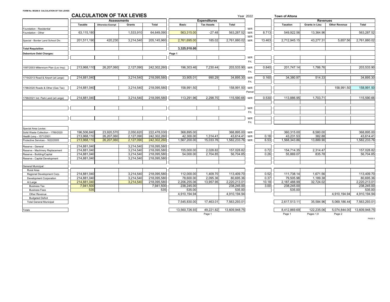|                                     |                            | <b>CALCULATION OF TAX LEVIES</b> |                        |                            |                           |                        |                           | Year 2022 |               | <b>Town of Altona</b>     |                       |                      |                           |
|-------------------------------------|----------------------------|----------------------------------|------------------------|----------------------------|---------------------------|------------------------|---------------------------|-----------|---------------|---------------------------|-----------------------|----------------------|---------------------------|
|                                     |                            | <b>Assessments</b>               |                        |                            |                           | <b>Expenditures</b>    |                           |           |               |                           | <b>Revenues</b>       |                      |                           |
|                                     | Taxable                    | <b>Otherwise Exempt</b>          | Grants                 | Total                      | <b>Basic</b>              | <b>Tax Assets</b>      | Total                     |           |               | <b>Taxation</b>           | <b>Grants in Lieu</b> | <b>Other Revenue</b> | Total                     |
| Foundation - Residential            |                            |                                  |                        |                            |                           |                        |                           | M/R       |               |                           |                       |                      |                           |
| Foundation - Other                  | 63,115,180                 |                                  | 1,533,910              | 64,649,090                 | 563,315.00                | $-27.48$               | 563,287.52                | M/R       | 8.713         | 549,922.56                | 13,364.96             |                      | 563,287.52                |
|                                     |                            |                                  |                        |                            |                           |                        |                           | M/R       |               |                           |                       |                      |                           |
| Special - Border Land School Div.   | 201,511,190                | 420,230                          | 3,214,540              | 205,145,960                | 2,761,695.00              | 185.02                 | 2,761,880.02              | M/R       | 13.463        | 2,712,945.15              | 43,277.31             | 5,657.56             | 2,761,880.02              |
| <b>Total Requisition</b>            |                            |                                  |                        |                            | 3,325,010.00              |                        |                           |           |               |                           |                       |                      |                           |
| <b>Debenture Debt Charges:</b>      |                            |                                  |                        |                            | Page 1                    |                        |                           |           |               |                           |                       |                      |                           |
|                                     |                            |                                  |                        |                            |                           |                        |                           | M/R       |               |                           |                       |                      |                           |
|                                     |                            |                                  |                        |                            |                           |                        |                           | Frt.      |               |                           |                       |                      |                           |
| 1597/2003 Millennium Plan (Loc Imp) | 213,968,110                | 26,207,060                       | 2,127,090              | 242,302,260                | 196,303.46                | 7,230.44               | 203,533.90                | M/R       | 0.840         | 201,747.14                | 1,786.76              |                      | 203,533.90                |
|                                     |                            |                                  |                        |                            |                           |                        |                           | Frt.      |               |                           |                       |                      |                           |
| 1719/2013 Road & Airport (at Large) | 214,881,040                |                                  | 3,214,540              | 218,095,580                | 33,905.01                 | 990.29                 | 34,895.30                 | M/R       | 0.160         | 34,380.97                 | 514.33                |                      | 34,895.30                 |
|                                     |                            |                                  |                        |                            |                           |                        |                           | Frt.      |               |                           |                       |                      |                           |
| 1788/2020 Roads & Other (Gas Tax)   | 214,881,040                |                                  | 3,214,540              | 218,095,580                | 158,991.50                |                        | 158,991.50                | M/R       |               |                           |                       | 158,991.50           | 158,991.50                |
|                                     |                            |                                  |                        |                            |                           |                        |                           | Parcel    |               |                           |                       |                      |                           |
| 1799/2021 Ind. Park Land (at Large) | 214,881,040                |                                  | 3,214,540              | 218,095,580                | 113,291.96                | 2,298.70               | 115,590.66                | M/R       | 0.530         | 113,886.95                | 1,703.71              |                      | 115,590.66                |
|                                     |                            |                                  |                        |                            |                           |                        |                           |           |               |                           |                       |                      |                           |
|                                     |                            |                                  |                        |                            |                           |                        |                           | M/R       |               |                           |                       |                      |                           |
|                                     |                            |                                  |                        |                            |                           |                        |                           | Frt.      |               |                           |                       |                      |                           |
|                                     |                            |                                  |                        |                            |                           |                        |                           |           |               |                           |                       |                      |                           |
|                                     |                            |                                  |                        |                            |                           |                        |                           | M/R       |               |                           |                       |                      |                           |
|                                     |                            |                                  |                        |                            |                           |                        |                           | Frt.      |               |                           |                       |                      |                           |
| Special Area Levies:                |                            |                                  |                        |                            |                           |                        |                           |           |               |                           |                       |                      |                           |
| Solid Waste Collection - 1789/2020  | 196,506,840                | 23,920,570                       | 2,050,620              | 222,478,030                | 368,895.00                |                        | 368,895.00                | M/R       |               | 360,315.00                | 8,580.00              |                      | 368,895.00                |
| Health Levy - 1571/2001             | 213,968,110                | 26,207,060                       | 2,127,090              | 242,302,260                | 42,300.00                 | 1,314.41               | 43,614.41                 | M/R       | 0.18          | 43,231.53                 | 382.88                |                      | 43,614.41                 |
| Protective Services - 1622/2005     | 213,968,110                | 26,207,060                       | 2,127,090              | 242,302,260                | 1,567,200.00              | 15,033.76              | 1,582,233.76              | M/R       | 6.53          | 1,568,343.86              | 13,889.90             |                      | 1,582,233.76              |
| Reserve - General                   | 214,881,040                |                                  | 3,214,540              | 218,095,580                |                           |                        |                           |           |               |                           |                       |                      |                           |
| Reserve - Machinery Replacement     | 214.881.040                |                                  | 3,214,540              | 218,095,580                | 155,000.00                | 2,028.82               | 157,028.82                |           | 0.72          | 154,714.35                | 2,314.47              |                      | 157,028.82                |
| Reserve - Building/Capital          | 214,881,040                |                                  | 3,214,540              | 218,095,580                | 54,000.00                 | 2,704.85               | 56,704.85                 |           | 0.26          | 55,869.07                 | 835.78                |                      | 56,704.85                 |
| Reserve - Capital Development       | 214,881,040                |                                  | 3,214,540              | 218,095,580                |                           |                        |                           |           |               |                           |                       |                      |                           |
|                                     |                            |                                  |                        |                            |                           |                        |                           |           |               |                           |                       |                      |                           |
| General Municipal:                  |                            |                                  |                        |                            |                           |                        |                           |           |               |                           |                       |                      |                           |
| Rural Area                          |                            |                                  |                        |                            |                           |                        |                           |           |               |                           |                       |                      |                           |
| Regional Development Corp.          | 214,881,040                |                                  | 3,214,540              | 218,095,580                | 112,000.00                | 1,409.70               | 113,409.70                |           | 0.52          | 111,738.14                | 1,671.56              |                      | 113,409.70                |
| <b>Development Corporation</b>      | 214,881,040<br>214,881,040 |                                  | 3,214,540<br>3,214,540 | 218,095,580<br>218,095,580 | 78,600.00<br>2,206,255.06 | 2,095.36<br>13,957.95  | 80,695.36<br>2,220,213.01 |           | 0.37<br>10.18 | 79,505.98<br>2,187,488.99 | 1,189.38<br>32,724.02 |                      | 80,695.36<br>2,220,213.01 |
| At Large<br><b>Business Tax</b>     | 7,941,500                  |                                  |                        | 7,941,500                  | 238,245.00                |                        | 238,245.00                |           | 3.00          | 238,245.00                |                       |                      | 238,245.00                |
| <b>Business Fees</b>                | 535                        |                                  |                        | 535                        | 535.00                    |                        | 535.00                    |           |               | 535.00                    |                       |                      | 535.00                    |
| Other Revenue                       |                            |                                  |                        |                            | 4,910,194.94              |                        | 4,910,194.94              |           |               |                           |                       | 4,910,194.94         | 4,910,194.94              |
| <b>Budgeted Deficit</b>             |                            |                                  |                        |                            |                           |                        |                           |           |               |                           |                       |                      |                           |
| <b>Total General Municipal</b>      |                            |                                  |                        |                            | 7,545,830.00              | $\overline{17,463.01}$ | 7,563,293.01              |           |               | 2,617,513.11              | 35,584.96             | 5,069,186.44         | 7,563,293.01              |
|                                     |                            |                                  |                        |                            |                           |                        |                           |           |               |                           |                       |                      |                           |
| Totals                              |                            |                                  |                        |                            | 13,560,726.93             | 49,221.82              | 13,609,948.75             |           |               | 8,412,869.69              | 122,235.06            | 5,074,844.00         | 13,609,948.75             |
|                                     |                            |                                  |                        |                            |                           | Page 1                 |                           |           |               | Page 1                    | Pages 1,9             | Page 2               |                           |

PAGE 8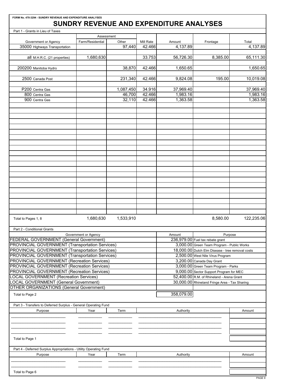| FORM No. 470-3294 - SUNDRY REVENUE AND EXPENDITURE ANALYSES       |                      |           |           |                                         |                                                  |            |
|-------------------------------------------------------------------|----------------------|-----------|-----------|-----------------------------------------|--------------------------------------------------|------------|
|                                                                   |                      |           |           | SUNDRY REVENUE AND EXPENDITURE ANALYSES |                                                  |            |
| Part 1 - Grants in Lieu of Taxes                                  |                      |           |           |                                         |                                                  |            |
|                                                                   | Assessment           |           |           |                                         |                                                  |            |
| Government or Agency                                              | Farm/Residential     | Other     | Mill Rate | Amount                                  | Frontage                                         | Total      |
| 35000 Highways Transportation                                     |                      | 97,440    | 42.466    | 4,137.89                                |                                                  | 4,137.89   |
|                                                                   |                      |           |           |                                         |                                                  |            |
| all M.H.R.C. (21 properties)                                      | 1,680,630            |           | 33.753    | 56,726.30                               | 8,385.00                                         | 65,111.30  |
|                                                                   |                      |           |           |                                         |                                                  |            |
| 200200 Manitoba Hydro                                             |                      | 38,870    | 42.466    | 1,650.65                                |                                                  | 1,650.65   |
|                                                                   |                      |           |           |                                         |                                                  |            |
| 2500 Canada Post                                                  |                      | 231,340   | 42.466    | 9,824.08                                | 195.00                                           | 10,019.08  |
|                                                                   |                      |           |           |                                         |                                                  |            |
| P200 Centra Gas                                                   |                      | 1,087,450 | 34.916    | 37,969.40                               |                                                  | 37,969.40  |
| 800 Centra Gas                                                    |                      | 46,700    | 42.466    | 1,983.16                                |                                                  | 1,983.16   |
| 900 Centra Gas                                                    |                      |           |           |                                         |                                                  |            |
|                                                                   |                      | 32,110    | 42.466    | 1,363.58                                |                                                  | 1,363.58   |
|                                                                   |                      |           |           |                                         |                                                  |            |
|                                                                   |                      |           |           |                                         |                                                  |            |
|                                                                   |                      |           |           |                                         |                                                  |            |
|                                                                   |                      |           |           |                                         |                                                  |            |
|                                                                   |                      |           |           |                                         |                                                  |            |
|                                                                   |                      |           |           |                                         |                                                  |            |
|                                                                   |                      |           |           |                                         |                                                  |            |
|                                                                   |                      |           |           |                                         |                                                  |            |
|                                                                   |                      |           |           |                                         |                                                  |            |
|                                                                   |                      |           |           |                                         |                                                  |            |
|                                                                   |                      |           |           |                                         |                                                  |            |
|                                                                   |                      |           |           |                                         |                                                  |            |
|                                                                   |                      |           |           |                                         |                                                  |            |
|                                                                   |                      |           |           |                                         |                                                  |            |
|                                                                   |                      |           |           |                                         |                                                  |            |
|                                                                   |                      |           |           |                                         |                                                  |            |
|                                                                   |                      |           |           |                                         |                                                  |            |
|                                                                   |                      |           |           |                                         |                                                  |            |
|                                                                   |                      |           |           |                                         |                                                  |            |
|                                                                   |                      |           |           |                                         |                                                  |            |
|                                                                   |                      |           |           |                                         |                                                  |            |
|                                                                   |                      |           |           |                                         |                                                  |            |
| Total to Pages 1, 8                                               | 1,680,630            | 1,533,910 |           |                                         | 8,580.00                                         | 122,235.06 |
|                                                                   |                      |           |           |                                         |                                                  |            |
| Part 2 - Conditional Grants                                       |                      |           |           |                                         |                                                  |            |
|                                                                   |                      |           |           |                                         |                                                  |            |
|                                                                   | Government or Agency |           |           | Amount                                  |                                                  | Purpose    |
| FEDERAL GOVERNMENT (General Government)                           |                      |           |           |                                         | 236,979.00 Fuel tax rebate grant                 |            |
| PROVINCIAL GOVERNMENT (Transportation Services)                   |                      |           |           |                                         | 3,000.00 Green Team Program - Public Works       |            |
| PROVINCIAL GOVERNMENT (Transportation Services)                   |                      |           |           |                                         | 18,000.00 Dutch Elm Disease - tree removal costs |            |
| PROVINCIAL GOVERNMENT (Transportation Services)                   |                      |           |           |                                         | 2,500.00 West Nile Virus Program                 |            |
| PROVINCIAL GOVERNMENT (Recreation Services)                       |                      |           |           |                                         | 3,200.00 Canada Day Grant                        |            |
| PROVINCIAL GOVERNMENT (Recreation Services)                       |                      |           |           |                                         | 3,000.00 Green Team Program - Parks              |            |
| PROVINCIAL GOVERNMENT (Recreation Services)                       |                      |           |           |                                         | 9,000.00 Sector Support Program for MEC          |            |
| <b>LOCAL GOVERNMENT (Recreation Services)</b>                     |                      |           |           |                                         | 52,400.00 R.M. of Rhineland - Arena Grant        |            |
| LOCAL GOVERNMENT (General Government)                             |                      |           |           |                                         | 30,000.00 Rhineland Fringe Area - Tax Sharing    |            |
| <b>OTHER ORGANIZATIONS (General Government)</b>                   |                      |           |           |                                         |                                                  |            |
|                                                                   |                      |           |           | 358,079.00                              |                                                  |            |
| Total to Page 2                                                   |                      |           |           |                                         |                                                  |            |
|                                                                   |                      |           |           |                                         |                                                  |            |
| Part 3 - Transfers to Deferred Surplus - General Operating Fund   |                      |           |           |                                         |                                                  |            |
| Purpose                                                           | Year                 | Term      |           | Authority                               |                                                  | Amount     |
|                                                                   |                      |           |           |                                         |                                                  |            |
|                                                                   |                      |           |           |                                         |                                                  |            |
|                                                                   |                      |           |           |                                         |                                                  |            |
|                                                                   |                      |           |           |                                         |                                                  |            |
| Total to Page 1                                                   |                      |           |           |                                         |                                                  |            |
|                                                                   |                      |           |           |                                         |                                                  |            |
|                                                                   |                      |           |           |                                         |                                                  |            |
| Part 4 - Deferred Surplus Appropriations - Utility Operating Fund |                      |           |           |                                         |                                                  |            |
| Purpose                                                           | Year                 | Term      |           | Authority                               |                                                  | Amount     |
|                                                                   |                      |           |           |                                         |                                                  |            |
|                                                                   |                      |           |           |                                         |                                                  |            |
| Total to Page 6                                                   |                      |           |           |                                         |                                                  |            |
|                                                                   |                      |           |           |                                         |                                                  |            |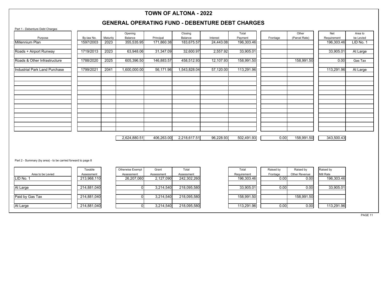### **TOWN OF ALTONA - 2022**

#### **GENERAL OPERATING FUND - DEBENTURE DEBT CHARGES**

| Purpose<br><b>Millennium Plan</b><br>Roads + Airport Runway  | By-law No.<br>1597/2003 | Maturity<br>2023 | Balance          | Principal  | Balance      | Interest  | Payment     | Frontage  | (Parcel Rate) | Requirement | be Levied |
|--------------------------------------------------------------|-------------------------|------------------|------------------|------------|--------------|-----------|-------------|-----------|---------------|-------------|-----------|
|                                                              |                         |                  |                  |            |              |           |             |           |               |             |           |
|                                                              |                         |                  | 355,535.95       | 171.860.38 | 183,675.57   | 24,443.08 | 196,303.46  |           |               | 196,303.46  | LID No. 1 |
|                                                              |                         |                  |                  |            |              |           |             |           |               |             |           |
|                                                              | 1719/2013               | 2023             | 63,948.06        | 31,347.09  | 32,600.97    | 2,557.92  | 33,905.01   |           |               | 33,905.01   | At Large  |
| Roads & Other Infrastructure                                 | 1788/2020               | 2025             | 605,396.50       | 146,883.57 | 458,512.93   | 12,107.93 | 158,991.50  |           | 158,991.50    | 0.00        | Gas Tax   |
|                                                              |                         |                  |                  |            |              |           |             |           |               |             |           |
| Industrial Park Land Purchase                                | 1799/2021               | 2041             | 1,600,000.00     | 56,171.96  | 1,543,828.04 | 57,120.00 | 113,291.96  |           |               | 113,291.96  | At Large  |
|                                                              |                         |                  |                  |            |              |           |             |           |               |             |           |
|                                                              |                         |                  |                  |            |              |           |             |           |               |             |           |
|                                                              |                         |                  |                  |            |              |           |             |           |               |             |           |
|                                                              |                         |                  |                  |            |              |           |             |           |               |             |           |
|                                                              |                         |                  |                  |            |              |           |             |           |               |             |           |
|                                                              |                         |                  |                  |            |              |           |             |           |               |             |           |
|                                                              |                         |                  |                  |            |              |           |             |           |               |             |           |
|                                                              |                         |                  |                  |            |              |           |             |           |               |             |           |
|                                                              |                         |                  |                  |            |              |           |             |           |               |             |           |
|                                                              |                         |                  |                  |            |              |           |             |           |               |             |           |
|                                                              |                         |                  |                  |            |              |           |             |           |               |             |           |
|                                                              |                         |                  |                  |            |              |           |             |           |               |             |           |
|                                                              |                         |                  |                  |            |              |           |             |           |               |             |           |
|                                                              |                         |                  | 2,624,880.51     | 406,263.00 | 2,218,617.51 | 96,228.93 | 502,491.93  | 0.00      | 158,991.50    | 343,500.43  |           |
| Part 2 - Summary (by area) - to be carried forward to page 8 |                         |                  |                  |            |              |           |             |           |               |             |           |
|                                                              | Taxable                 |                  | Otherwise Exempt | Grant      | Total        |           | Total       | Raised by | Raised by     | Raised by   |           |
| Area to be Levied                                            | Assessment              |                  | Assessment       | Assessment | Assessment   |           | Requirement | Frontage  | Other Revenue | Mill Rate   |           |
| LID No. 1                                                    | 213,968,110             |                  | 26,207,060       | 2,127,090  | 242,302,260  |           | 196,303.46  | 0.00      | 0.00          | 196,303.46  |           |
| At Large                                                     | 214,881,040             |                  | $\mathbf 0$      | 3,214,540  | 218,095,580  |           | 33,905.01   | 0.00      | 0.00          | 33,905.01   |           |
| Paid by Gas Tax                                              | 214,881,040             |                  | $\mathbf 0$      | 3,214,540  | 218,095,580  |           | 158,991.50  |           | 158,991.50    |             |           |
| At Large                                                     | 214,881,040             |                  | $\Omega$         | 3,214,540  | 218,095,580  |           | 113,291.96  | 0.00      | 0.00          | 113,291.96  |           |

PAGE 11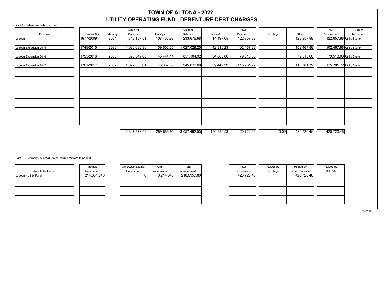## **TOWN OF ALTONA - 2022 UTILITY OPERATING FUND - DEBENTURE DEBT CHARGES**

| Part 1 - Debenture Debt Charges |            |          |              |            |              |            |            |          |            |             |                           |
|---------------------------------|------------|----------|--------------|------------|--------------|------------|------------|----------|------------|-------------|---------------------------|
|                                 |            |          | Opening      |            | Closing      |            | Total      |          |            | Net         | Area to                   |
| Purpose                         | By-law No. | Maturity | Balance      | Principal  | Balance      | Interest   | Payment    | Frontage | Other      | Requirement | be Levied                 |
| Lagoon                          | 1677/2009  | 2024     | 342,137.51   | 108,460.83 | 233,676.68   | 14,497.05  | 122,957.88 |          | 122,957.88 |             | 122,957.88 Utility System |
| Lagoon Expansion 2015           | 1745/2015  | 2035     | 1,086,680.90 | 59,652.65  | 1,027,028.25 | 42,815.23  | 102,467.88 |          | 102,467.88 |             | 102,467.88 Utility System |
| Lagoon Expansion 2016           | 1755/2016  | 2036     | 896,549.06   | 45,444.14  | 851,104.92   | 34,068.86  | 79,513.00  |          | 79,513.00  |             | 79,513.00 Utility System  |
| Lagoon Expansion 2017           | 1761/2017  | 2032     | 1,022,005.01 | 76,332.33  | 945,672.68   | 39,449.39  | 115,781.72 |          | 115,781.72 |             | 115,781.72 Utility System |
|                                 |            |          |              |            |              |            |            |          |            |             |                           |
|                                 |            |          |              |            |              |            |            |          |            |             |                           |
|                                 |            |          |              |            |              |            |            |          |            |             |                           |
|                                 |            |          |              |            |              |            |            |          |            |             |                           |
|                                 |            |          |              |            |              |            |            |          |            |             |                           |
|                                 |            |          |              |            |              |            |            |          |            |             |                           |
|                                 |            |          |              |            |              |            |            |          |            |             |                           |
|                                 |            |          |              |            |              |            |            |          |            |             |                           |
|                                 |            |          | 3,347,372.48 | 289,889.95 | 3,057,482.53 | 130,830.53 | 420,720.48 | 0.00     | 420,720.48 | 420,720.48  |                           |
|                                 |            |          |              |            |              |            |            |          |            |             |                           |

Part 2 - Summary (by area) - to be carried forward to page 8

| Taxable    | Otherwise Exempt | Grant      | Total      |           | Total       | Raised by | Raised by     | Raised by |
|------------|------------------|------------|------------|-----------|-------------|-----------|---------------|-----------|
| Assessment | Assessment       | Assessment | Assessment |           | Requirement | Frontage  | Other Revenue | Mill Rate |
|            |                  |            |            |           | 420,720.48  |           | 420,720.48    |           |
|            |                  |            |            |           |             |           |               |           |
|            |                  |            |            |           |             |           |               |           |
|            |                  |            |            |           |             |           |               |           |
|            |                  |            |            |           |             |           |               |           |
|            |                  |            |            |           |             |           |               |           |
|            |                  |            |            |           |             |           |               |           |
|            | 214,881,040      |            |            | 3,214,540 | 218,095,580 |           |               |           |

PAGE 12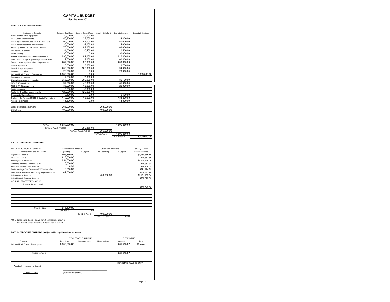#### **CAPITAL BUDGET**

 **For the Year 2022**

#### **Part 1 - CAPITAL EXPENDITURES**

| Particulars of Expenditure                          | <b>Estimated Total Cost</b> | Borne by General Fund    | Borne by Utility Fund | Borne by Reserves | <b>Borne by Debentures</b> |
|-----------------------------------------------------|-----------------------------|--------------------------|-----------------------|-------------------|----------------------------|
| Administration office equipment                     | 20.000.00                   | 20,000.00                |                       |                   |                            |
| Civic Centre improvements                           | 59.500.00                   | 22.700.00                |                       | 36,800.00         |                            |
| Police equipment includes Truck & Misc Equip.       | 94.000.00                   | 44.000.00                |                       | 50,000.00         |                            |
| Police accommodations improvements                  | 20.000.00                   | 5.000.00                 |                       | 15,000.00         |                            |
| Fire equipment & Truck Chassis / deposit            | 178,000.00                  | 89.000.00                |                       | 89.000.00         |                            |
| Fire hall improvements                              | 21.000.00                   | 10.500.00                |                       | 10.500.00         |                            |
| <b>Street lighting</b>                              | 30.000.00                   | 0.00                     |                       | 30,000.00         |                            |
| Road Reconstruction & Other Infrastructure          | 893,000.00                  | 81.000.00                |                       | 812,000.00        |                            |
| Downtown Drainage Project-carry/fwd from 2021       | 119,000.00                  | 19.000.00                |                       | 100.000.00        |                            |
| Transportation equipment including Sweeper          | 287.000.00                  | 87.000.00                |                       | 200.000.00        |                            |
| Landfill Equipment                                  | 25.000.00                   | 13,250.00                |                       | 11.750.00         |                            |
| Landfill Soapstock project                          | 200.000.00                  | 106.000.00               |                       | 94.000.00         |                            |
| Cemetery upgrades                                   | 20,000.00                   | 0.00                     |                       | 20,000.00         |                            |
| Industrial Park Phase 1 Construction                | 3.000.000.00                | 0.00                     |                       |                   | 3.000.000.00               |
| Recreation equipment                                | 7.000.00                    | 7.000.00                 |                       |                   |                            |
| Library improvements - relocation                   | 356.000.00                  | 269.900.00               |                       | 86,100.00         |                            |
| MEC & RPC equipment                                 | 97.000.00                   | 42.000.00                |                       | 55,000.00         |                            |
| MEC & RPC improvements                              | 35,000.00                   | 15,000.00                |                       | 20,000.00         |                            |
| Parks equipment                                     | 5.000.00                    | 5.000.00                 |                       |                   |                            |
| Parks site & building improvements                  | 129,000.00                  | 129,000.00               |                       |                   |                            |
| Community Garden Project                            | 79,400.00                   | 0.00                     |                       | 79,400.00         |                            |
| Gallery in the Park (incl.FOTG & Capital Acquistion | 149.200.00                  | 15,000.00                |                       | 134,200.00        |                            |
| <b>Access Field Project</b>                         | 48.500.00                   | 0.00                     |                       | 48.500.00         |                            |
|                                                     |                             |                          |                       |                   |                            |
| Water & Sewer improvements                          | 265,000.00                  |                          | 265,000.00            |                   |                            |
| <b>Utility Shop</b>                                 | 400.000.00                  |                          | 400.000.00            |                   |                            |
|                                                     |                             |                          |                       |                   |                            |
|                                                     |                             |                          |                       |                   |                            |
|                                                     |                             |                          |                       |                   |                            |
|                                                     |                             |                          |                       |                   |                            |
| <b>TOTAL</b>                                        | 6.537.600.00                |                          |                       | 1.892.250.00      |                            |
|                                                     | TOTAL to Page 5, A/C 9320   | 980.350.00               |                       |                   |                            |
|                                                     |                             | TOTAL to Page 6, A/C 430 | 665.000.00            |                   |                            |
|                                                     |                             |                          | TOTAL to Part 2       | 1.892.250.00      |                            |
|                                                     |                             |                          |                       | TOTAL to Part 3   | 3.000.000.00               |
|                                                     |                             |                          |                       |                   |                            |

#### **PART 2 - RESERVE WITHDRAWALS**

| SPECIFIC PURPOSE RESERVES                                               | General Fund Transfers |                   | <b>Utility Fund Transfers</b> |                   | January 1, 2022 |
|-------------------------------------------------------------------------|------------------------|-------------------|-------------------------------|-------------------|-----------------|
| Reserve Name and By-Law No.                                             | To Operating           | <b>To Capital</b> | To Operating                  | <b>To Capital</b> | Cash Resources  |
| <b>Equipment Reserve</b>                                                | 405,750.00             |                   |                               |                   | \$1,030,885.76  |
| <b>Fuel Tax Reserve</b>                                                 | 612.000.00             |                   |                               |                   | \$226,857.89    |
| <b>Building &amp; Site Reserves</b>                                     | 854,500.00             |                   |                               |                   | \$2,264,169.00  |
| Cemetery Reserve - Improvements                                         | 20,000.00              |                   |                               |                   | \$78,897.85     |
| Economic Development Reserve                                            | 0.00                   |                   |                               |                   | \$78,959.65     |
| Parks Bulding & Site Reserve-MEC Treeline c/fwd                         | 10,850.00              |                   |                               |                   | \$541,124.79    |
| Solid Waste Reserve (Composting program shortfal                        | 42.000.00              |                   |                               |                   | \$156,383.18    |
| Utility General Reserve                                                 |                        |                   | 400.000.00                    |                   | \$1,121,135.94  |
| Utility Network Renewal Reserve                                         |                        |                   |                               |                   | \$500,328.85    |
| GENERAL RESERVE BY-LAW NO<br>Purpose for withdrawal                     |                        |                   |                               |                   |                 |
|                                                                         |                        |                   |                               |                   | \$583.545.88    |
|                                                                         |                        |                   |                               |                   |                 |
|                                                                         |                        |                   |                               |                   |                 |
|                                                                         |                        |                   |                               |                   |                 |
|                                                                         |                        |                   |                               |                   |                 |
|                                                                         |                        |                   |                               |                   |                 |
| TOTAL to Page 2                                                         | 1.945.100.00           |                   |                               |                   |                 |
|                                                                         | TOTAL to Part 1        | 0.00              |                               |                   |                 |
|                                                                         |                        | TOTAL to Page 6   | 400.000.00                    |                   |                 |
|                                                                         |                        |                   | TOTAL to Part 1               | 0.00              |                 |
| NOTE: Current vear's General Reserve Interest Earnings in the amount of |                        |                   |                               |                   |                 |
| Transferred to General Fund Page 2. Returns from Investments.           |                        |                   |                               |                   |                 |
|                                                                         |                        |                   |                               |                   |                 |

#### **PART 3 - DEBENTURE FINANCING (Subject to Municipal Board Authorization)**

|                                     |                        | <b>TEMPORARY FINANCING</b> |              | <b>REPAYMENT</b>      |          |
|-------------------------------------|------------------------|----------------------------|--------------|-----------------------|----------|
| Proposal                            | Bank Loan              | Revenue Loan               | Reserve Loan | Amount                | Term     |
| Industrial Park Phase 1 Development | 3,000,000.00           |                            |              | 261,553.67            | 20 Years |
|                                     |                        |                            |              |                       |          |
|                                     |                        |                            |              |                       |          |
| TOTAL to Part 1                     |                        |                            |              | 261,553.67            |          |
| Adopted by resolution of Council    |                        |                            |              | DEPARTMENTAL USE ONLY |          |
| April 12, 2022                      | (Authorized Signature) |                            |              |                       |          |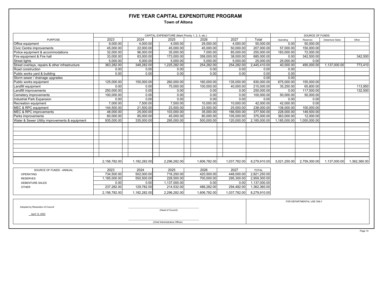### **FIVE YEAR CAPITAL EXPENDITURE PROGRAM**

 **Town of Altona**

|                                                 |              |              | CAPITAL EXPENDITURE (Mark Priority 1, 2, 3, etc.) |              |              |              |              | SOURCE OF FUNDS           |                 |              |
|-------------------------------------------------|--------------|--------------|---------------------------------------------------|--------------|--------------|--------------|--------------|---------------------------|-----------------|--------------|
| <b>PURPOSE</b>                                  | 2023         | 2024         | 2025                                              | 2026         | 2027         | Total        | Operating    | Reserves                  | Debenture Sales | Other        |
| <b>Office equipment</b>                         | 9.000.00     | 4.000.00     | 4.000.00                                          | 29,000.00    | 4.000.00     | 50.000.00    | 0.00         | 50.000.00                 |                 |              |
| Civic Centre improvements                       | 45,000.00    | 22,000.00    | 45,000.00                                         | 45,000.00    | 50,000.00    | 207,000.00   | 57.000.00    | 150,000.00                |                 |              |
| Police equipment & accommodations               | 32,000.00    | 96,000.00    | 35,000.00                                         | 7.000.00     | 85,000.00    | 255,000.00   | 183,000.00   | 72,000.00                 |                 |              |
| Fire equipment & Fire hall                      | 33,000.00    | 83,000.00    | 173,000.00                                        | 358,000.00   | 38,000.00    | 685,000.00   | 0.00         | 342,500.00                |                 | 342,500      |
| <b>Street lights</b>                            | 5,000.00     | 5,000.00     | 5,000.00                                          | 5,000.00     | 5,000.00     | 25,000.00    | 25,000.00    | 0.00                      |                 |              |
| Street overlays, repairs & other infrastructure | 363,282.00   | 348,282.00   | 1,225,282.00                                      | 254,282.00   | 254,282.00   | 2,445,410.00 | 40,000.00    | 495,000.00                | 1,137,000.00    | 773,410      |
| Road construction                               | 0.00         | 0.00         | 0.00                                              | 0.00         | 0.00         | 0.00         | 0.00         |                           |                 |              |
| Public works yard & building                    | 0.00         | 0.00         | 0.00                                              | 0.00         | 0.00         | 0.00         | 0.00         |                           |                 |              |
| Storm sewer / drainage upgrades                 |              |              |                                                   |              |              | 0.00         | 0.00         |                           |                 |              |
| Public works equipment                          | 125,000.00   | 150,000.00   | 260,000.00                                        | 160.000.00   | 135,000.00   | 830,000.00   | 675,000.00   | 155,000.00                |                 |              |
| Landfill equipment                              | 0.00         | 0.00         | 75,000.00                                         | 100,000.00   | 40,000.00    | 215,000.00   | 35,250.00    | 65,800.00                 |                 | 113,950      |
| Landfill improvements                           | 250,000.00   | 0.00         | 0.00                                              | 0.00         | 0.00         | 250,000.00   | 0.00         | 117,500.00                |                 | 132.500      |
| Cemetery improvements                           | 100.000.00   | 0.00         | 0.00                                              | 0.00         | 0.00         | 100.000.00   | 50.000.00    | 50,000.00                 |                 |              |
| Industrial Park Expansion                       | 0.00         | 0.00         | 0.00                                              | 0.00         | 0.00         | 0.00         | 0.00         | 0.00                      |                 |              |
| Recreation equipment                            | 7,000.00     | 7,500.00     | 7,500.00                                          | 10.000.00    | 10.000.00    | 42,000.00    | 42.000.00    | 0.00                      |                 |              |
| MEC & RPC equipment                             | 144,500.00   | 21,500.00    | 23,500.00                                         | 23,500.00    | 25,000.00    | 238,000.00   | 138,000.00   | 100,000.00                |                 |              |
| <b>MEC &amp; RPC improvements</b>               | 48,000.00    | 25,000.00    | 103,000.00                                        | 35,000.00    | 166,500.00   | 377,500.00   | 228,000.00   | 149,500.00                |                 |              |
| Parks improvements                              | 60,000.00    | 85,000.00    | 45,000.00                                         | 80,000.00    | 105,000.00   | 375,000.00   | 363,000.00   | 12,000.00                 |                 |              |
| Water & Sewer Utility improvements & equipment  | 935,000.00   | 335,000.00   | 295,000.00                                        | 500.000.00   | 120.000.00   | 2,185,000.00 | 1,185,000.00 | 1,000,000.00              |                 |              |
|                                                 |              |              |                                                   |              |              |              |              |                           |                 |              |
|                                                 |              |              |                                                   |              |              |              |              |                           |                 |              |
|                                                 |              |              |                                                   |              |              |              |              |                           |                 |              |
|                                                 |              |              |                                                   |              |              |              |              |                           |                 |              |
|                                                 |              |              |                                                   |              |              |              |              |                           |                 |              |
|                                                 |              |              |                                                   |              |              |              |              |                           |                 |              |
|                                                 |              |              |                                                   |              |              |              |              |                           |                 |              |
|                                                 |              |              |                                                   |              |              |              |              |                           |                 |              |
|                                                 | 2,156,782.00 | 1,182,282.00 | 2,296,282.00                                      | 1,606,782.00 | 1,037,782.00 | 8,279,910.00 | 3,021,250.00 | 2,759,300.00              | 1,137,000.00    | 1.362.360.00 |
|                                                 |              |              |                                                   |              |              |              |              |                           |                 |              |
| SOURCE OF FUNDS - ANNUAL                        | 2023         | 2024         | 2025                                              | 2026         | 2027         | <b>TOTAL</b> |              |                           |                 |              |
| <b>OPERATING</b>                                | 734,500.00   | 502,000.00   | 716,250.00                                        | 420,500.00   | 448,000.00   | 2,821,250.00 |              |                           |                 |              |
| <b>RESERVES</b>                                 | 1.185.000.00 | 550.500.00   | 228,500.00                                        | 700.000.00   | 295.300.00   | 2,959,300.00 |              |                           |                 |              |
| DEBENTURE SALES                                 | 0.00         | 0.00         | 1,137,000.00                                      | 0.00         | 0.00         | 1,137,000.00 |              |                           |                 |              |
| <b>OTHER</b>                                    | 237.282.00   | 129,782.00   | 214,532.00                                        | 486,282.00   | 294,482.00   | 1,362,360.00 |              |                           |                 |              |
|                                                 |              |              |                                                   |              |              |              |              |                           |                 |              |
|                                                 | 2,156,782.00 | 1,182,282.00 | 2,296,282.00                                      | 1,606,782.00 | 1,037,782.00 | 8,279,910.00 |              |                           |                 |              |
|                                                 |              |              |                                                   |              |              |              |              |                           |                 |              |
|                                                 |              |              |                                                   |              |              |              |              | FOR DEPARTMENTAL USE ONLY |                 |              |
| Adopted by Resolution of Council                |              |              |                                                   |              |              |              |              |                           |                 |              |
|                                                 |              |              | (Head of Council)                                 |              |              |              |              |                           |                 |              |
| April 12, 2022                                  |              |              |                                                   |              |              |              |              |                           |                 |              |
|                                                 |              |              | (Chief Administrative Officer)                    |              |              |              |              |                           |                 |              |
|                                                 |              |              |                                                   |              |              |              |              |                           |                 |              |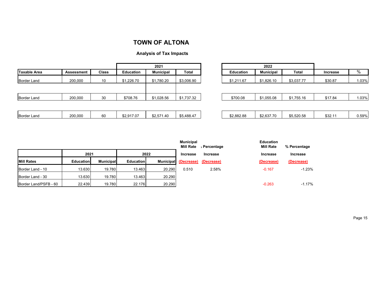## **TOWN OF ALTONA**

## **Analysis of Tax Impacts**

|                    |            |              |                  | 2021             |            |
|--------------------|------------|--------------|------------------|------------------|------------|
| Taxable Area       | Assessment | <b>Class</b> | <b>Education</b> | <b>Municipal</b> | Total      |
| <b>Border Land</b> | 200,000    | 10           | \$1,226.70       | \$1,780.20       | \$3,006.90 |
|                    |            |              |                  |                  |            |
|                    |            |              |                  |                  |            |
| <b>Border Land</b> | 200,000    | 30           | \$708.76         | \$1,028.56       | \$1,737.32 |
|                    |            |              |                  |                  |            |
| <b>Border Land</b> | 200,000    | 60           | \$2,917.07       | \$2,571.40       | \$5,488.47 |

|                       |                  |                  |                  | <b>Municipal</b><br><b>Mill Rate</b> |                 | , Percentage    | <b>Education</b><br><b>Mill Rate</b> | % Percentage |
|-----------------------|------------------|------------------|------------------|--------------------------------------|-----------------|-----------------|--------------------------------------|--------------|
|                       | 2021             |                  |                  | 2022                                 | <b>Increase</b> | <b>Increase</b> | Increase                             | Increase     |
| <b>Mill Rates</b>     | <b>Education</b> | <b>Municipal</b> | <b>Education</b> | <b>Municipal</b>                     | (Decrease)      | (Decrease)      | (Decrease)                           | (Decrease)   |
| Border Land - 10      | 13.630           | 19.780           | 13.463           | 20.290                               | 0.510           | 2.58%           | $-0.167$                             | $-1.23%$     |
| Border Land - 30      | 13.630           | 19.780           | 13.463           | 20.290                               |                 |                 |                                      |              |
| Border Land/PSFB - 60 | 22.439           | 19.780           | 22.176           | 20.290                               |                 |                 | $-0.263$                             | $-1.17%$     |

Page 15